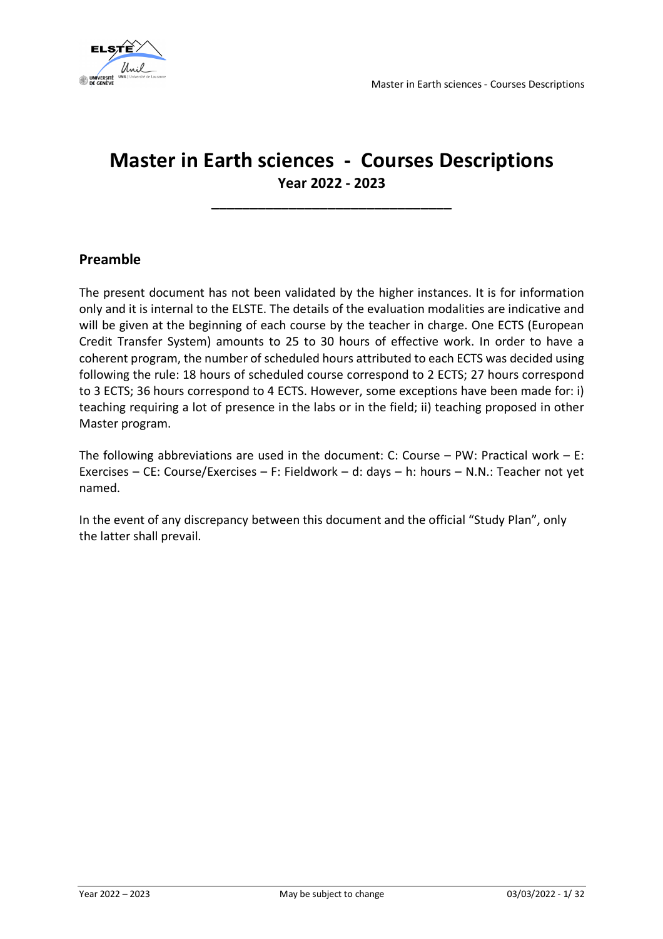

## **Master in Earth sciences - Courses Descriptions Year 2022 - 2023**

**\_\_\_\_\_\_\_\_\_\_\_\_\_\_\_\_\_\_\_\_\_\_\_\_\_\_\_\_\_\_\_**

### **Preamble**

The present document has not been validated by the higher instances. It is for information only and it is internal to the ELSTE. The details of the evaluation modalities are indicative and will be given at the beginning of each course by the teacher in charge. One ECTS (European Credit Transfer System) amounts to 25 to 30 hours of effective work. In order to have a coherent program, the number of scheduled hours attributed to each ECTS was decided using following the rule: 18 hours of scheduled course correspond to 2 ECTS; 27 hours correspond to 3 ECTS; 36 hours correspond to 4 ECTS. However, some exceptions have been made for: i) teaching requiring a lot of presence in the labs or in the field; ii) teaching proposed in other Master program.

The following abbreviations are used in the document: C: Course – PW: Practical work – E: Exercises – CE: Course/Exercises – F: Fieldwork – d: days – h: hours – N.N.: Teacher not yet named.

In the event of any discrepancy between this document and the official "Study Plan", only the latter shall prevail.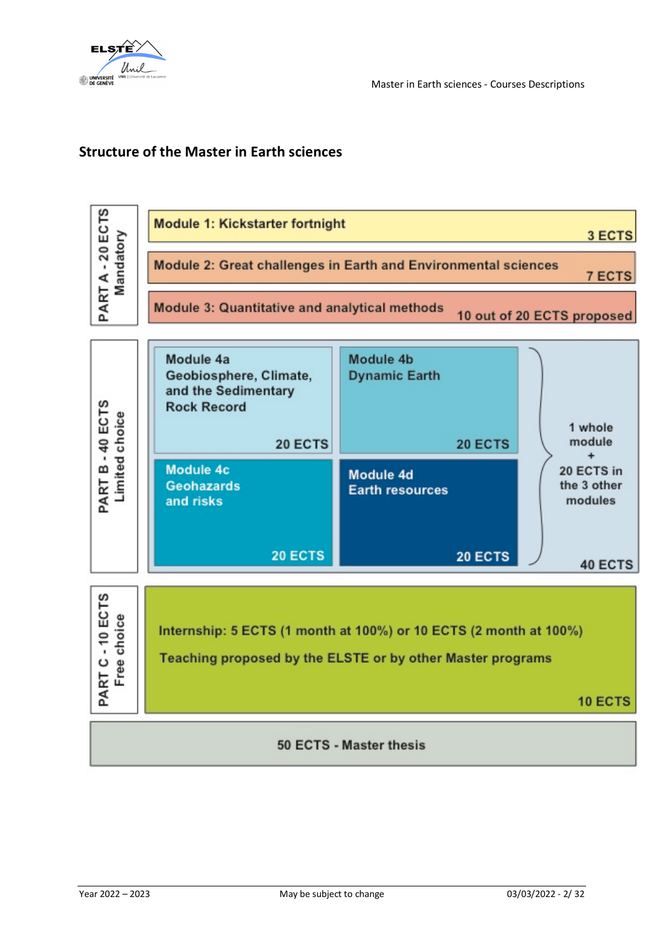

## **Structure of the Master in Earth sciences**

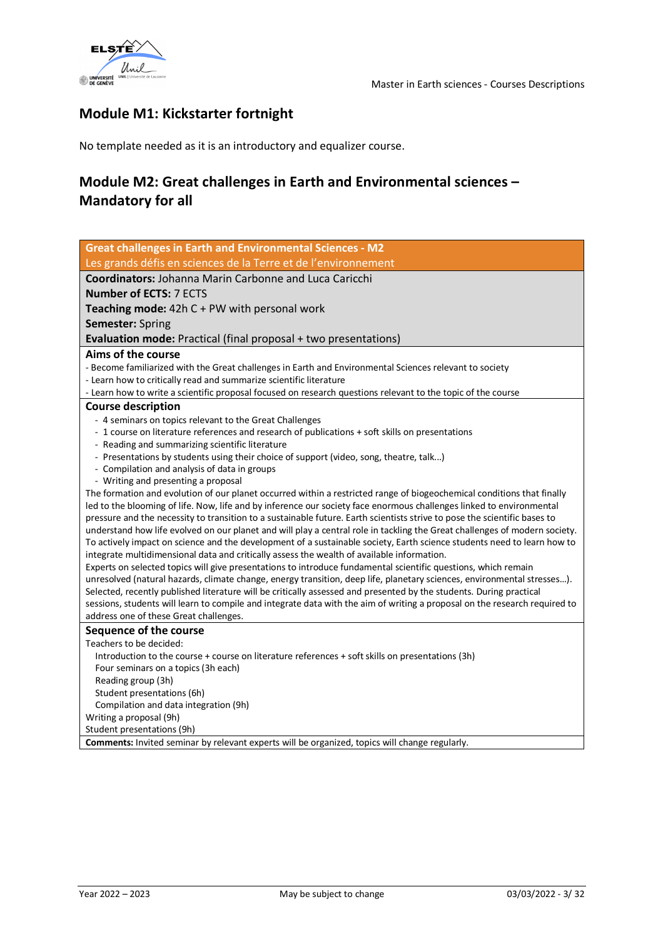

## **Module M1: Kickstarter fortnight**

No template needed as it is an introductory and equalizer course.

## **Module M2: Great challenges in Earth and Environmental sciences – Mandatory for all**

| <b>Great challenges in Earth and Environmental Sciences - M2</b>                                                                                                                                                                               |
|------------------------------------------------------------------------------------------------------------------------------------------------------------------------------------------------------------------------------------------------|
| Les grands défis en sciences de la Terre et de l'environnement                                                                                                                                                                                 |
| <b>Coordinators: Johanna Marin Carbonne and Luca Caricchi</b>                                                                                                                                                                                  |
| <b>Number of ECTS: 7 ECTS</b>                                                                                                                                                                                                                  |
| <b>Teaching mode:</b> $42hC + PW$ with personal work                                                                                                                                                                                           |
| <b>Semester: Spring</b>                                                                                                                                                                                                                        |
| Evaluation mode: Practical (final proposal + two presentations)                                                                                                                                                                                |
| Aims of the course                                                                                                                                                                                                                             |
| - Become familiarized with the Great challenges in Earth and Environmental Sciences relevant to society                                                                                                                                        |
| - Learn how to critically read and summarize scientific literature                                                                                                                                                                             |
| - Learn how to write a scientific proposal focused on research questions relevant to the topic of the course                                                                                                                                   |
| <b>Course description</b>                                                                                                                                                                                                                      |
| - 4 seminars on topics relevant to the Great Challenges                                                                                                                                                                                        |
| - 1 course on literature references and research of publications + soft skills on presentations                                                                                                                                                |
| - Reading and summarizing scientific literature                                                                                                                                                                                                |
| - Presentations by students using their choice of support (video, song, theatre, talk)                                                                                                                                                         |
| - Compilation and analysis of data in groups                                                                                                                                                                                                   |
| - Writing and presenting a proposal                                                                                                                                                                                                            |
| The formation and evolution of our planet occurred within a restricted range of biogeochemical conditions that finally<br>led to the blooming of life. Now, life and by inference our society face enormous challenges linked to environmental |
| pressure and the necessity to transition to a sustainable future. Earth scientists strive to pose the scientific bases to                                                                                                                      |
| understand how life evolved on our planet and will play a central role in tackling the Great challenges of modern society.                                                                                                                     |
| To actively impact on science and the development of a sustainable society, Earth science students need to learn how to                                                                                                                        |
| integrate multidimensional data and critically assess the wealth of available information.                                                                                                                                                     |
| Experts on selected topics will give presentations to introduce fundamental scientific questions, which remain                                                                                                                                 |
| unresolved (natural hazards, climate change, energy transition, deep life, planetary sciences, environmental stresses).                                                                                                                        |
| Selected, recently published literature will be critically assessed and presented by the students. During practical                                                                                                                            |
| sessions, students will learn to compile and integrate data with the aim of writing a proposal on the research required to                                                                                                                     |
| address one of these Great challenges.                                                                                                                                                                                                         |
| <b>Sequence of the course</b>                                                                                                                                                                                                                  |
| Teachers to be decided:                                                                                                                                                                                                                        |
| Introduction to the course + course on literature references + soft skills on presentations (3h)                                                                                                                                               |
| Four seminars on a topics (3h each)                                                                                                                                                                                                            |
| Reading group (3h)                                                                                                                                                                                                                             |
| Student presentations (6h)                                                                                                                                                                                                                     |
| Compilation and data integration (9h)                                                                                                                                                                                                          |
| Writing a proposal (9h)<br>Student presentations (9h)                                                                                                                                                                                          |
| Comments: Invited seminar by relevant experts will be organized, topics will change regularly.                                                                                                                                                 |
|                                                                                                                                                                                                                                                |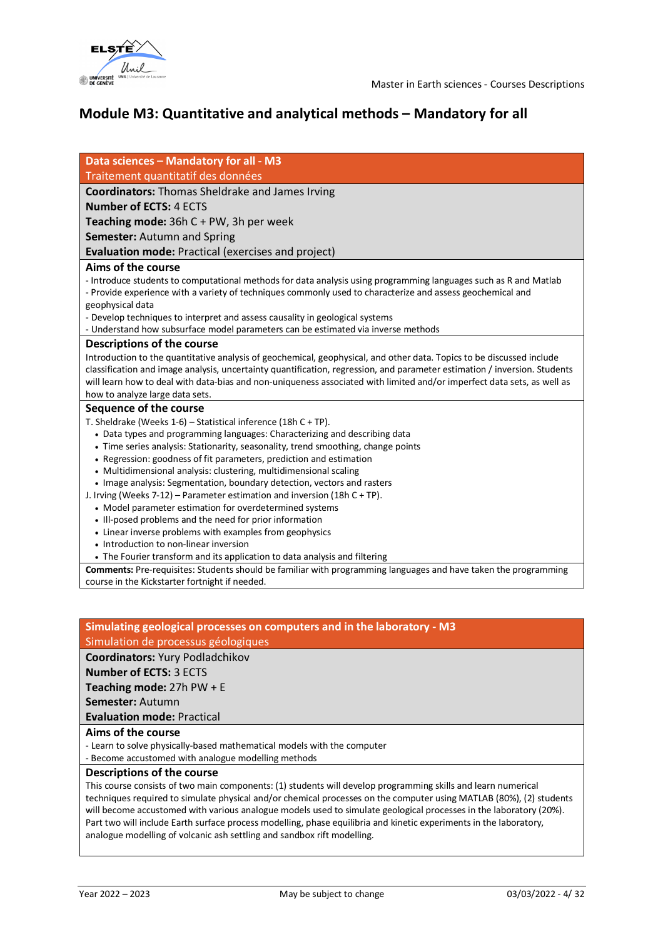

## **Module M3: Quantitative and analytical methods – Mandatory for all**

| Data sciences - Mandatory for all - M3                                                                                                                                                                                                                                                                                                                                                                           |
|------------------------------------------------------------------------------------------------------------------------------------------------------------------------------------------------------------------------------------------------------------------------------------------------------------------------------------------------------------------------------------------------------------------|
| Traitement quantitatif des données                                                                                                                                                                                                                                                                                                                                                                               |
| <b>Coordinators:</b> Thomas Sheldrake and James Irving                                                                                                                                                                                                                                                                                                                                                           |
| <b>Number of ECTS: 4 ECTS</b>                                                                                                                                                                                                                                                                                                                                                                                    |
| Teaching mode: $36hC + PW$ , 3h per week                                                                                                                                                                                                                                                                                                                                                                         |
| <b>Semester: Autumn and Spring</b>                                                                                                                                                                                                                                                                                                                                                                               |
| <b>Evaluation mode: Practical (exercises and project)</b>                                                                                                                                                                                                                                                                                                                                                        |
| Aims of the course                                                                                                                                                                                                                                                                                                                                                                                               |
| - Introduce students to computational methods for data analysis using programming languages such as R and Matlab<br>- Provide experience with a variety of techniques commonly used to characterize and assess geochemical and<br>geophysical data                                                                                                                                                               |
| - Develop techniques to interpret and assess causality in geological systems                                                                                                                                                                                                                                                                                                                                     |
| - Understand how subsurface model parameters can be estimated via inverse methods                                                                                                                                                                                                                                                                                                                                |
| <b>Descriptions of the course</b>                                                                                                                                                                                                                                                                                                                                                                                |
| Introduction to the quantitative analysis of geochemical, geophysical, and other data. Topics to be discussed include<br>classification and image analysis, uncertainty quantification, regression, and parameter estimation / inversion. Students<br>will learn how to deal with data-bias and non-uniqueness associated with limited and/or imperfect data sets, as well as<br>how to analyze large data sets. |
| Sequence of the course                                                                                                                                                                                                                                                                                                                                                                                           |
| T. Sheldrake (Weeks 1-6) - Statistical inference (18h C + TP).                                                                                                                                                                                                                                                                                                                                                   |
| • Data types and programming languages: Characterizing and describing data                                                                                                                                                                                                                                                                                                                                       |
| • Time series analysis: Stationarity, seasonality, trend smoothing, change points                                                                                                                                                                                                                                                                                                                                |
| • Regression: goodness of fit parameters, prediction and estimation                                                                                                                                                                                                                                                                                                                                              |
| • Multidimensional analysis: clustering, multidimensional scaling                                                                                                                                                                                                                                                                                                                                                |
| • Image analysis: Segmentation, boundary detection, vectors and rasters                                                                                                                                                                                                                                                                                                                                          |
| J. Irving (Weeks 7-12) – Parameter estimation and inversion (18h C + TP).                                                                                                                                                                                                                                                                                                                                        |
| • Model parameter estimation for overdetermined systems                                                                                                                                                                                                                                                                                                                                                          |
| • Ill-posed problems and the need for prior information                                                                                                                                                                                                                                                                                                                                                          |
| • Linear inverse problems with examples from geophysics                                                                                                                                                                                                                                                                                                                                                          |
| • Introduction to non-linear inversion                                                                                                                                                                                                                                                                                                                                                                           |
| • The Fourier transform and its application to data analysis and filtering                                                                                                                                                                                                                                                                                                                                       |
| Comments: Pre-requisites: Students should be familiar with programming languages and have taken the programming                                                                                                                                                                                                                                                                                                  |
| course in the Kickstarter fortnight if needed.                                                                                                                                                                                                                                                                                                                                                                   |

### **Simulating geological processes on computers and in the laboratory - M3** Simulation de processus géologiques

### **Coordinators:** Yury Podladchikov

**Number of ECTS:** 3 ECTS

**Teaching mode:** 27h PW + E

**Semester:** Autumn

**Evaluation mode:** Practical

### **Aims of the course**

- Learn to solve physically-based mathematical models with the computer

- Become accustomed with analogue modelling methods

### **Descriptions of the course**

This course consists of two main components: (1) students will develop programming skills and learn numerical techniques required to simulate physical and/or chemical processes on the computer using MATLAB (80%), (2) students will become accustomed with various analogue models used to simulate geological processes in the laboratory (20%). Part two will include Earth surface process modelling, phase equilibria and kinetic experiments in the laboratory, analogue modelling of volcanic ash settling and sandbox rift modelling.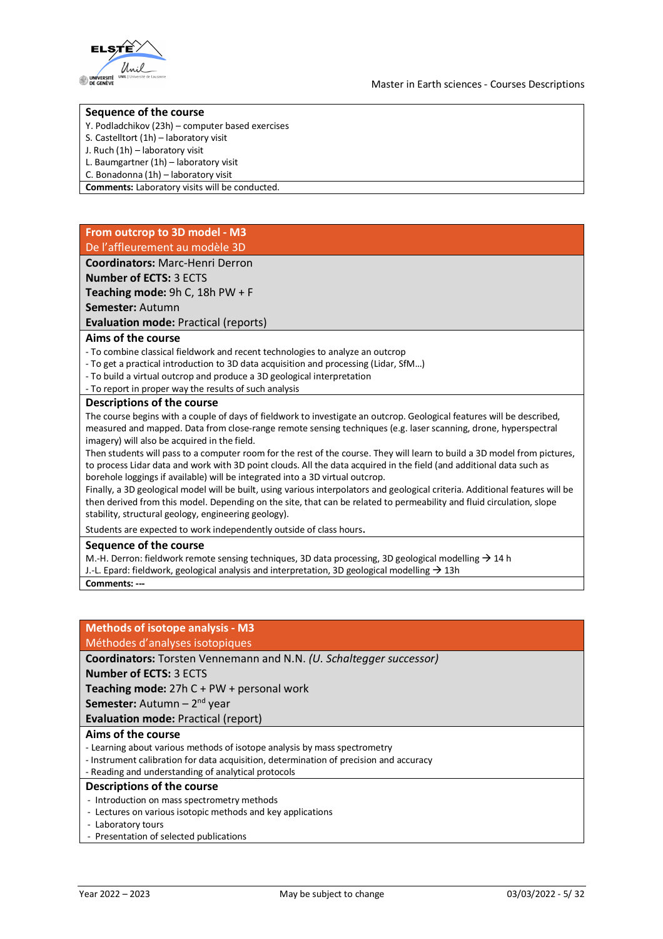

### **Sequence of the course**

- Y. Podladchikov (23h) computer based exercises
- S. Castelltort (1h) laboratory visit
- J. Ruch (1h) laboratory visit
- L. Baumgartner (1h) laboratory visit
- C. Bonadonna (1h) laboratory visit
- **Comments:** Laboratory visits will be conducted.

### **From outcrop to 3D model - M3** De l'affleurement au modèle 3D

**Coordinators:** Marc-Henri Derron

**Number of ECTS:** 3 ECTS

**Teaching mode:** 9h C, 18h PW + F

**Semester:** Autumn

**Evaluation mode:** Practical (reports)

### **Aims of the course**

- To combine classical fieldwork and recent technologies to analyze an outcrop
- To get a practical introduction to 3D data acquisition and processing (Lidar, SfM…)
- To build a virtual outcrop and produce a 3D geological interpretation
- To report in proper way the results of such analysis

#### **Descriptions of the course**

The course begins with a couple of days of fieldwork to investigate an outcrop. Geological features will be described, measured and mapped. Data from close-range remote sensing techniques (e.g. laser scanning, drone, hyperspectral imagery) will also be acquired in the field.

Then students will pass to a computer room for the rest of the course. They will learn to build a 3D model from pictures, to process Lidar data and work with 3D point clouds. All the data acquired in the field (and additional data such as borehole loggings if available) will be integrated into a 3D virtual outcrop.

Finally, a 3D geological model will be built, using various interpolators and geological criteria. Additional features will be then derived from this model. Depending on the site, that can be related to permeability and fluid circulation, slope stability, structural geology, engineering geology).

Students are expected to work independently outside of class hours.

### **Sequence of the course**

M.-H. Derron: fieldwork remote sensing techniques, 3D data processing, 3D geological modelling  $\rightarrow$  14 h

J.-L. Epard: fieldwork, geological analysis and interpretation, 3D geological modelling  $\rightarrow$  13h

**Comments: ---**

### **Methods of isotope analysis - M3** Méthodes d'analyses isotopiques

### **Coordinators:** Torsten Vennemann and N.N. *(U. Schaltegger successor)*

**Number of ECTS:** 3 ECTS

**Teaching mode:** 27h C + PW + personal work

**Semester:** Autumn – 2<sup>nd</sup> year

**Evaluation mode:** Practical (report)

### **Aims of the course**

- Learning about various methods of isotope analysis by mass spectrometry
- Instrument calibration for data acquisition, determination of precision and accuracy

- Reading and understanding of analytical protocols

### **Descriptions of the course**

- Introduction on mass spectrometry methods
- Lectures on various isotopic methods and key applications
- Laboratory tours
- Presentation of selected publications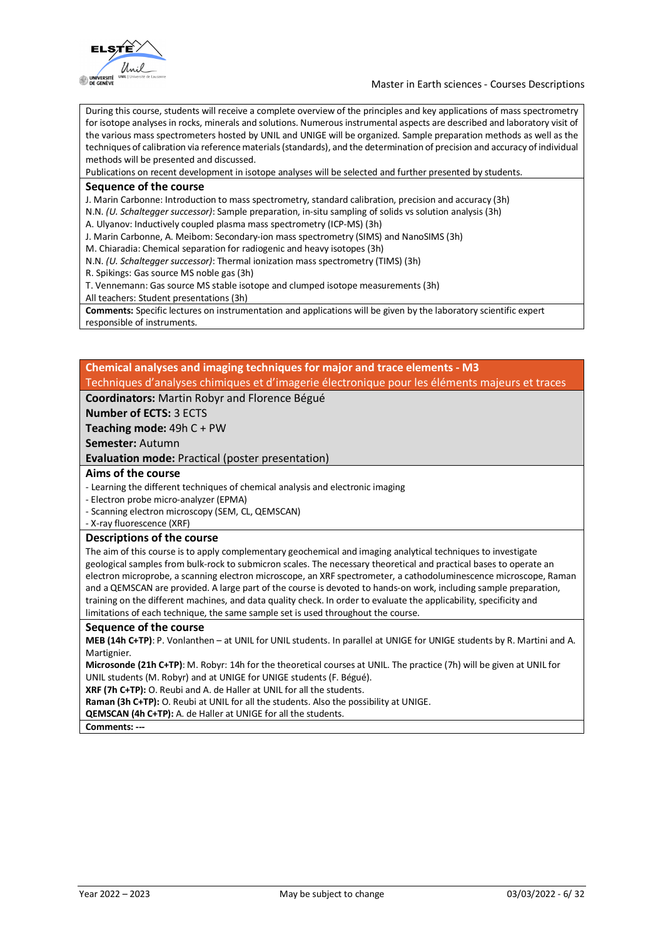

During this course, students will receive a complete overview of the principles and key applications of mass spectrometry for isotope analyses in rocks, minerals and solutions. Numerous instrumental aspects are described and laboratory visit of the various mass spectrometers hosted by UNIL and UNIGE will be organized. Sample preparation methods as well as the techniques of calibration via reference materials (standards), and the determination of precision and accuracy of individual methods will be presented and discussed.

Publications on recent development in isotope analyses will be selected and further presented by students.

#### **Sequence of the course**

J. Marin Carbonne: Introduction to mass spectrometry, standard calibration, precision and accuracy (3h)

N.N. *(U. Schaltegger successor)*: Sample preparation, in-situ sampling of solids vs solution analysis (3h)

A. Ulyanov: Inductively coupled plasma mass spectrometry (ICP-MS) (3h)

J. Marin Carbonne, A. Meibom: Secondary-ion mass spectrometry (SIMS) and NanoSIMS (3h)

M. Chiaradia: Chemical separation for radiogenic and heavy isotopes (3h)

N.N. *(U. Schaltegger successor)*: Thermal ionization mass spectrometry (TIMS) (3h)

R. Spikings: Gas source MS noble gas (3h)

T. Vennemann: Gas source MS stable isotope and clumped isotope measurements (3h)

All teachers: Student presentations (3h)

**Comments:** Specific lectures on instrumentation and applications will be given by the laboratory scientific expert responsible of instruments.

### **Chemical analyses and imaging techniques for major and trace elements - M3** Techniques d'analyses chimiques et d'imagerie électronique pour les éléments majeurs et traces

### **Coordinators:** Martin Robyr and Florence Bégué

**Number of ECTS:** 3 ECTS

**Teaching mode:** 49h C + PW

### **Semester:** Autumn

**Evaluation mode:** Practical (poster presentation)

### **Aims of the course**

- Learning the different techniques of chemical analysis and electronic imaging

- Electron probe micro-analyzer (EPMA)

- Scanning electron microscopy (SEM, CL, QEMSCAN)

- X-ray fluorescence (XRF)

### **Descriptions of the course**

The aim of this course is to apply complementary geochemical and imaging analytical techniques to investigate geological samples from bulk-rock to submicron scales. The necessary theoretical and practical bases to operate an electron microprobe, a scanning electron microscope, an XRF spectrometer, a cathodoluminescence microscope, Raman and a QEMSCAN are provided. A large part of the course is devoted to hands-on work, including sample preparation, training on the different machines, and data quality check. In order to evaluate the applicability, specificity and limitations of each technique, the same sample set is used throughout the course.

### **Sequence of the course**

**MEB (14h C+TP)**: P. Vonlanthen – at UNIL for UNIL students. In parallel at UNIGE for UNIGE students by R. Martini and A. Martignier.

**Microsonde (21h C+TP)**: M. Robyr: 14h for the theoretical courses at UNIL. The practice (7h) will be given at UNIL for UNIL students (M. Robyr) and at UNIGE for UNIGE students (F. Bégué).

**XRF (7h C+TP):** O. Reubi and A. de Haller at UNIL for all the students.

**Raman (3h C+TP):** O. Reubi at UNIL for all the students. Also the possibility at UNIGE.

**QEMSCAN (4h C+TP):** A. de Haller at UNIGE for all the students.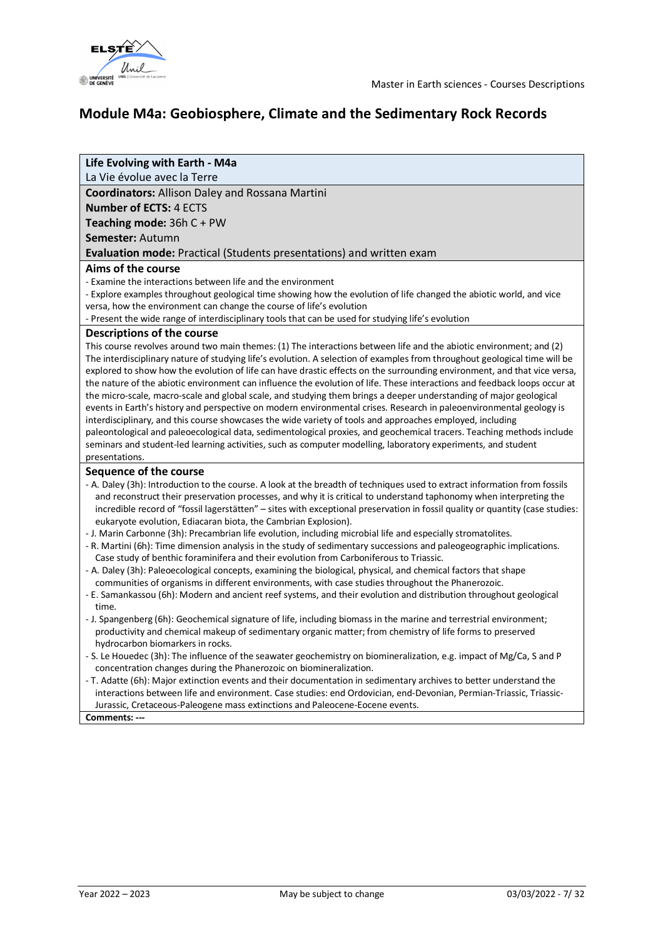



## **Module M4a: Geobiosphere, Climate and the Sedimentary Rock Records**

### **Life Evolving with Earth - M4a**

La Vie évolue avec la Terre

**Coordinators:** Allison Daley and Rossana Martini

**Number of ECTS:** 4 ECTS

**Teaching mode:** 36h C + PW

**Semester:** Autumn

**Evaluation mode:** Practical (Students presentations) and written exam

### **Aims of the course**

- Examine the interactions between life and the environment

- Explore examples throughout geological time showing how the evolution of life changed the abiotic world, and vice versa, how the environment can change the course of life's evolution

- Present the wide range of interdisciplinary tools that can be used for studying life's evolution

### **Descriptions of the course**

This course revolves around two main themes: (1) The interactions between life and the abiotic environment; and (2) The interdisciplinary nature of studying life's evolution. A selection of examples from throughout geological time will be explored to show how the evolution of life can have drastic effects on the surrounding environment, and that vice versa, the nature of the abiotic environment can influence the evolution of life. These interactions and feedback loops occur at the micro-scale, macro-scale and global scale, and studying them brings a deeper understanding of major geological events in Earth's history and perspective on modern environmental crises. Research in paleoenvironmental geology is interdisciplinary, and this course showcases the wide variety of tools and approaches employed, including paleontological and paleoecological data, sedimentological proxies, and geochemical tracers. Teaching methods include seminars and student-led learning activities, such as computer modelling, laboratory experiments, and student presentations.

### **Sequence of the course**

- A. Daley (3h): Introduction to the course. A look at the breadth of techniques used to extract information from fossils and reconstruct their preservation processes, and why it is critical to understand taphonomy when interpreting the incredible record of "fossil lagerstätten" – sites with exceptional preservation in fossil quality or quantity (case studies: eukaryote evolution, Ediacaran biota, the Cambrian Explosion).
- J. Marin Carbonne (3h): Precambrian life evolution, including microbial life and especially stromatolites.
- R. Martini (6h): Time dimension analysis in the study of sedimentary successions and paleogeographic implications. Case study of benthic foraminifera and their evolution from Carboniferous to Triassic.
- A. Daley (3h): Paleoecological concepts, examining the biological, physical, and chemical factors that shape communities of organisms in different environments, with case studies throughout the Phanerozoic.
- E. Samankassou (6h): Modern and ancient reef systems, and their evolution and distribution throughout geological time.
- J. Spangenberg (6h): Geochemical signature of life, including biomass in the marine and terrestrial environment; productivity and chemical makeup of sedimentary organic matter; from chemistry of life forms to preserved hydrocarbon biomarkers in rocks.
- S. Le Houedec (3h): The influence of the seawater geochemistry on biomineralization, e.g. impact of Mg/Ca, S and P concentration changes during the Phanerozoic on biomineralization.
- T. Adatte (6h): Major extinction events and their documentation in sedimentary archives to better understand the interactions between life and environment. Case studies: end Ordovician, end-Devonian, Permian-Triassic, Triassic-Jurassic, Cretaceous-Paleogene mass extinctions and Paleocene-Eocene events.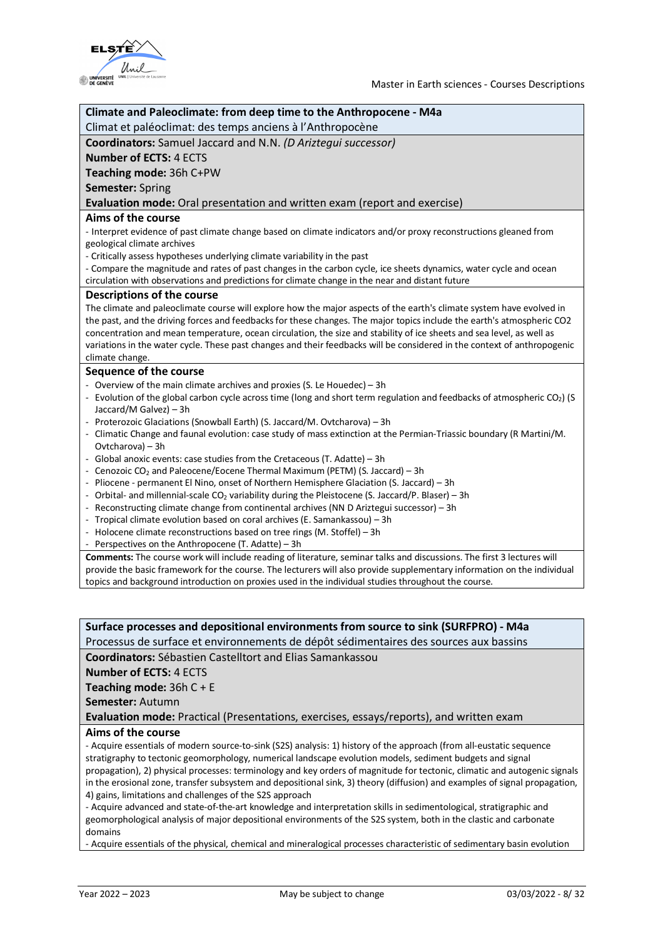

| Climate and Paleoclimate: from deep time to the Anthropocene - M4a                                                         |
|----------------------------------------------------------------------------------------------------------------------------|
| Climat et paléoclimat: des temps anciens à l'Anthropocène                                                                  |
| Coordinators: Samuel Jaccard and N.N. (D Ariztequi successor)                                                              |
| <b>Number of ECTS: 4 ECTS</b>                                                                                              |
| Teaching mode: 36h C+PW                                                                                                    |
| <b>Semester: Spring</b>                                                                                                    |
| Evaluation mode: Oral presentation and written exam (report and exercise)                                                  |
| Aims of the course                                                                                                         |
| - Interpret evidence of past climate change based on climate indicators and/or proxy reconstructions gleaned from          |
| geological climate archives                                                                                                |
| - Critically assess hypotheses underlying climate variability in the past                                                  |
| - Compare the magnitude and rates of past changes in the carbon cycle, ice sheets dynamics, water cycle and ocean          |
| circulation with observations and predictions for climate change in the near and distant future                            |
| <b>Descriptions of the course</b>                                                                                          |
| The climate and paleoclimate course will explore how the major aspects of the earth's climate system have evolved in       |
| the past, and the driving forces and feedbacks for these changes. The major topics include the earth's atmospheric CO2     |
| concentration and mean temperature, ocean circulation, the size and stability of ice sheets and sea level, as well as      |
| variations in the water cycle. These past changes and their feedbacks will be considered in the context of anthropogenic   |
| climate change.                                                                                                            |
| Sequence of the course                                                                                                     |
| - Overview of the main climate archives and proxies (S. Le Houedec) - 3h                                                   |
| - Evolution of the global carbon cycle across time (long and short term regulation and feedbacks of atmospheric $CO2$ ) (S |
| Jaccard/M Galvez) - 3h                                                                                                     |
| - Proterozoic Glaciations (Snowball Earth) (S. Jaccard/M. Ovtcharova) - 3h                                                 |
| - Climatic Change and faunal evolution: case study of mass extinction at the Permian-Triassic boundary (R Martini/M.       |
| Ovtcharova) - 3h<br>Global anoxic events: case studies from the Cretaceous (T. Adatte) - 3h<br>$\frac{1}{2}$               |
| Cenozoic CO <sub>2</sub> and Paleocene/Eocene Thermal Maximum (PETM) (S. Jaccard) - 3h                                     |
| - Pliocene - permanent El Nino, onset of Northern Hemisphere Glaciation (S. Jaccard) - 3h                                  |
| - Orbital- and millennial-scale CO <sub>2</sub> variability during the Pleistocene (S. Jaccard/P. Blaser) - 3h             |
| - Reconstructing climate change from continental archives (NN D Ariztegui successor) - 3h                                  |
| - Tropical climate evolution based on coral archives (E. Samankassou) - 3h                                                 |
| - Holocene climate reconstructions based on tree rings (M. Stoffel) - 3h                                                   |
| - Perspectives on the Anthropocene (T. Adatte) - 3h                                                                        |
| Comments: The course work will include reading of literature, seminar talks and discussions. The first 3 lectures will     |
| provide the basic framework for the course. The lecturers will also provide supplementary information on the individual    |
| topics and background introduction on proxies used in the individual studies throughout the course.                        |

**Surface processes and depositional environments from source to sink (SURFPRO) - M4a** Processus de surface et environnements de dépôt sédimentaires des sources aux bassins

**Coordinators:** Sébastien Castelltort and Elias Samankassou

**Number of ECTS:** 4 ECTS

**Teaching mode:** 36h C + E

**Semester:** Autumn

**Evaluation mode:** Practical (Presentations, exercises, essays/reports), and written exam

### **Aims of the course**

- Acquire essentials of modern source-to-sink (S2S) analysis: 1) history of the approach (from all-eustatic sequence stratigraphy to tectonic geomorphology, numerical landscape evolution models, sediment budgets and signal propagation), 2) physical processes: terminology and key orders of magnitude for tectonic, climatic and autogenic signals in the erosional zone, transfer subsystem and depositional sink, 3) theory (diffusion) and examples of signal propagation, 4) gains, limitations and challenges of the S2S approach

- Acquire advanced and state-of-the-art knowledge and interpretation skills in sedimentological, stratigraphic and geomorphological analysis of major depositional environments of the S2S system, both in the clastic and carbonate domains

- Acquire essentials of the physical, chemical and mineralogical processes characteristic of sedimentary basin evolution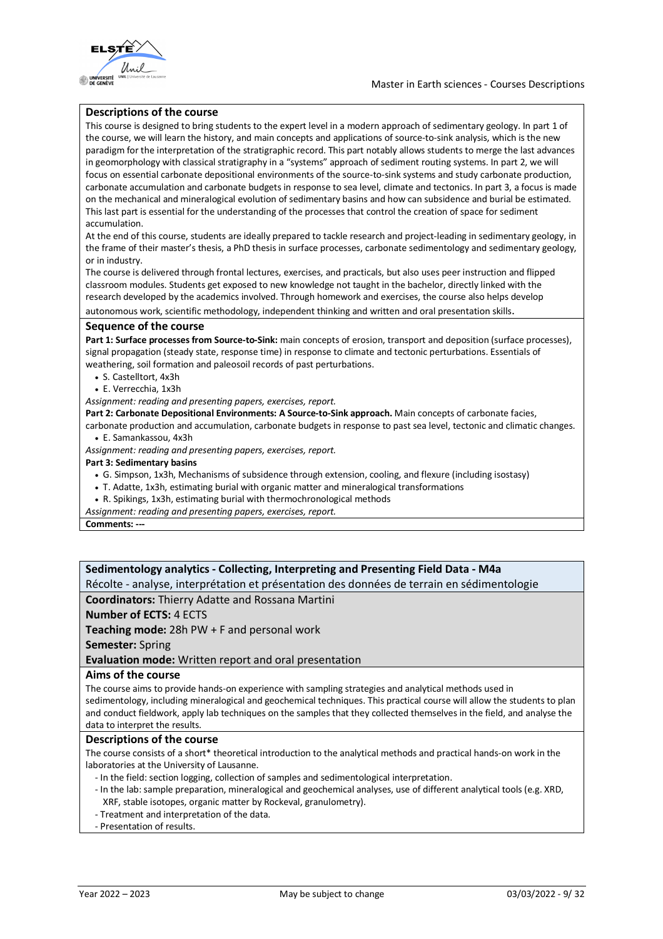



### **Descriptions of the course**

This course is designed to bring students to the expert level in a modern approach of sedimentary geology. In part 1 of the course, we will learn the history, and main concepts and applications of source-to-sink analysis, which is the new paradigm for the interpretation of the stratigraphic record. This part notably allows students to merge the last advances in geomorphology with classical stratigraphy in a "systems" approach of sediment routing systems. In part 2, we will focus on essential carbonate depositional environments of the source-to-sink systems and study carbonate production, carbonate accumulation and carbonate budgets in response to sea level, climate and tectonics. In part 3, a focus is made on the mechanical and mineralogical evolution of sedimentary basins and how can subsidence and burial be estimated. This last part is essential for the understanding of the processes that control the creation of space for sediment accumulation.

At the end of this course, students are ideally prepared to tackle research and project-leading in sedimentary geology, in the frame of their master's thesis, a PhD thesis in surface processes, carbonate sedimentology and sedimentary geology, or in industry.

The course is delivered through frontal lectures, exercises, and practicals, but also uses peer instruction and flipped classroom modules. Students get exposed to new knowledge not taught in the bachelor, directly linked with the research developed by the academics involved. Through homework and exercises, the course also helps develop

autonomous work, scientific methodology, independent thinking and written and oral presentation skills.

#### **Sequence of the course**

Part 1: Surface processes from Source-to-Sink: main concepts of erosion, transport and deposition (surface processes), signal propagation (steady state, response time) in response to climate and tectonic perturbations. Essentials of weathering, soil formation and paleosoil records of past perturbations.

- S. Castelltort, 4x3h
- E. Verrecchia, 1x3h

*Assignment: reading and presenting papers, exercises, report.*

**Part 2: Carbonate Depositional Environments: A Source-to-Sink approach.** Main concepts of carbonate facies,

carbonate production and accumulation, carbonate budgets in response to past sea level, tectonic and climatic changes. • E. Samankassou, 4x3h

*Assignment: reading and presenting papers, exercises, report.*

### **Part 3: Sedimentary basins**

- G. Simpson, 1x3h, Mechanisms of subsidence through extension, cooling, and flexure (including isostasy)
- T. Adatte, 1x3h, estimating burial with organic matter and mineralogical transformations
- R. Spikings, 1x3h, estimating burial with thermochronological methods

*Assignment: reading and presenting papers, exercises, report.*

**Comments: ---**

### **Sedimentology analytics - Collecting, Interpreting and Presenting Field Data - M4a** Récolte - analyse, interprétation et présentation des données de terrain en sédimentologie **Coordinators:** Thierry Adatte and Rossana Martini **Number of ECTS:** 4 ECTS **Teaching mode:** 28h PW + F and personal work **Semester:** Spring **Evaluation mode:** Written report and oral presentation **Aims of the course** The course aims to provide hands-on experience with sampling strategies and analytical methods used in sedimentology, including mineralogical and geochemical techniques. This practical course will allow the students to plan and conduct fieldwork, apply lab techniques on the samples that they collected themselves in the field, and analyse the data to interpret the results. **Descriptions of the course**

The course consists of a short\* theoretical introduction to the analytical methods and practical hands-on work in the laboratories at the University of Lausanne.

- In the field: section logging, collection of samples and sedimentological interpretation.
- In the lab: sample preparation, mineralogical and geochemical analyses, use of different analytical tools (e.g. XRD, XRF, stable isotopes, organic matter by Rockeval, granulometry).
- Treatment and interpretation of the data.
- Presentation of results.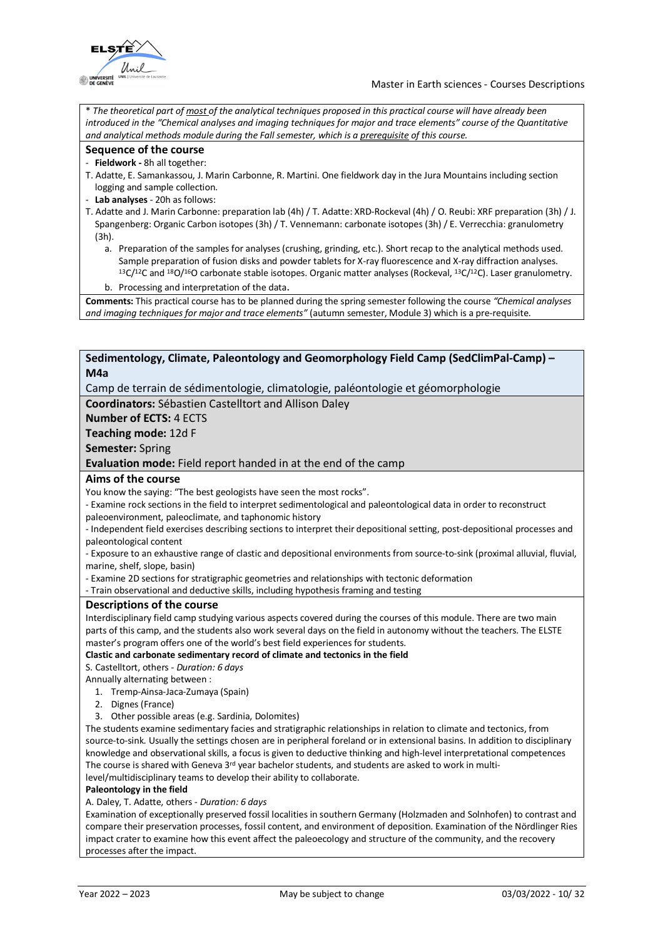

\* *The theoretical part of most of the analytical techniques proposed in this practical course will have already been introduced in the "Chemical analyses and imaging techniques for major and trace elements" course of the Quantitative and analytical methods module during the Fall semester, which is a prerequisite of this course.*

#### **Sequence of the course**

#### - **Fieldwork -** 8h all together:

- T. Adatte, E. Samankassou, J. Marin Carbonne, R. Martini. One fieldwork day in the Jura Mountains including section logging and sample collection.
- **Lab analyses** 20h as follows:
- T. Adatte and J. Marin Carbonne: preparation lab (4h) / T. Adatte: XRD-Rockeval (4h) / O. Reubi: XRF preparation (3h) / J. Spangenberg: Organic Carbon isotopes (3h) / T. Vennemann: carbonate isotopes (3h) / E. Verrecchia: granulometry (3h).
	- a. Preparation of the samples for analyses (crushing, grinding, etc.). Short recap to the analytical methods used. Sample preparation of fusion disks and powder tablets for X-ray fluorescence and X-ray diffraction analyses.<br><sup>13</sup>C/<sup>12</sup>C and <sup>18</sup>O/<sup>16</sup>O carbonate stable isotopes. Organic matter analyses (Rockeval, <sup>13</sup>C/<sup>12</sup>C). Laser gr
	- b. Processing and interpretation of the data.

**Comments:** This practical course has to be planned during the spring semester following the course *"Chemical analyses and imaging techniques for major and trace elements"* (autumn semester, Module 3) which is a pre-requisite.

### **Sedimentology, Climate, Paleontology and Geomorphology Field Camp (SedClimPal-Camp) – M4a**

Camp de terrain de sédimentologie, climatologie, paléontologie et géomorphologie

**Coordinators:** Sébastien Castelltort and Allison Daley

**Number of ECTS:** 4 ECTS

**Teaching mode:** 12d F

**Semester:** Spring

**Evaluation mode:** Field report handed in at the end of the camp

### **Aims of the course**

You know the saying: "The best geologists have seen the most rocks".

- Examine rock sections in the field to interpret sedimentological and paleontological data in order to reconstruct paleoenvironment, paleoclimate, and taphonomic history

- Independent field exercises describing sections to interpret their depositional setting, post-depositional processes and paleontological content

- Exposure to an exhaustive range of clastic and depositional environments from source-to-sink (proximal alluvial, fluvial, marine, shelf, slope, basin)

- Examine 2D sections for stratigraphic geometries and relationships with tectonic deformation

- Train observational and deductive skills, including hypothesis framing and testing

### **Descriptions of the course**

Interdisciplinary field camp studying various aspects covered during the courses of this module. There are two main parts of this camp, and the students also work several days on the field in autonomy without the teachers. The ELSTE master's program offers one of the world's best field experiences for students.

**Clastic and carbonate sedimentary record of climate and tectonics in the field**

S. Castelltort, others *- Duration: 6 days*

Annually alternating between :

- 1. Tremp-Ainsa-Jaca-Zumaya (Spain)
- 2. Dignes (France)
- 3. Other possible areas (e.g. Sardinia, Dolomites)

The students examine sedimentary facies and stratigraphic relationships in relation to climate and tectonics, from source-to-sink. Usually the settings chosen are in peripheral foreland or in extensional basins. In addition to disciplinary knowledge and observational skills, a focus is given to deductive thinking and high-level interpretational competences The course is shared with Geneva  $3^{rd}$  year bachelor students, and students are asked to work in multilevel/multidisciplinary teams to develop their ability to collaborate.

### **Paleontology in the field**

A. Daley, T. Adatte, others - *Duration: 6 days*

Examination of exceptionally preserved fossil localities in southern Germany (Holzmaden and Solnhofen) to contrast and compare their preservation processes, fossil content, and environment of deposition. Examination of the Nördlinger Ries impact crater to examine how this event affect the paleoecology and structure of the community, and the recovery processes after the impact.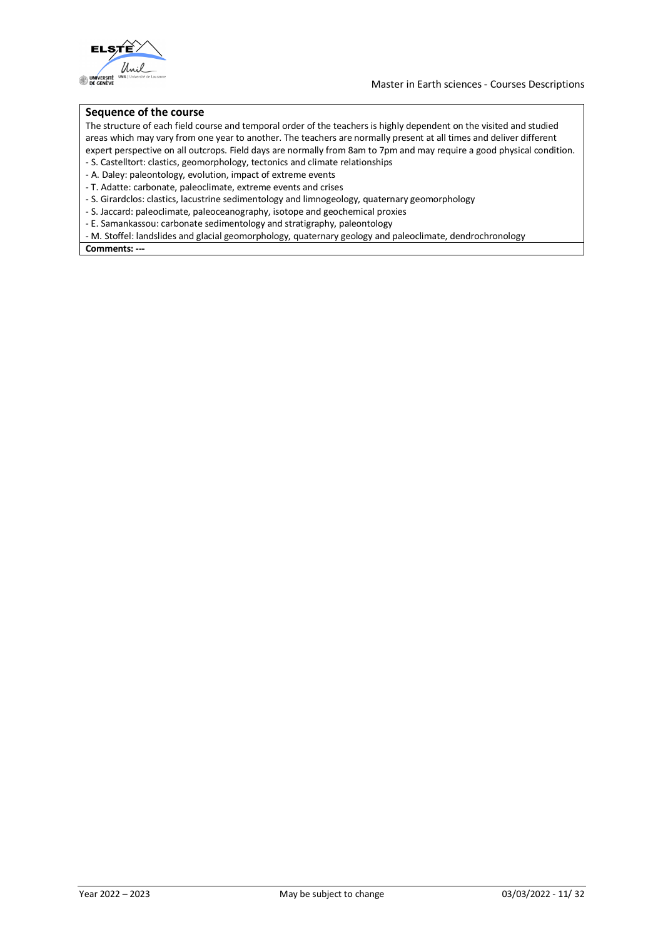

### **Sequence of the course**

The structure of each field course and temporal order of the teachers is highly dependent on the visited and studied areas which may vary from one year to another. The teachers are normally present at all times and deliver different expert perspective on all outcrops. Field days are normally from 8am to 7pm and may require a good physical condition.

- S. Castelltort: clastics, geomorphology, tectonics and climate relationships
- A. Daley: paleontology, evolution, impact of extreme events
- T. Adatte: carbonate, paleoclimate, extreme events and crises
- S. Girardclos: clastics, lacustrine sedimentology and limnogeology, quaternary geomorphology
- S. Jaccard: paleoclimate, paleoceanography, isotope and geochemical proxies
- E. Samankassou: carbonate sedimentology and stratigraphy, paleontology
- M. Stoffel: landslides and glacial geomorphology, quaternary geology and paleoclimate, dendrochronology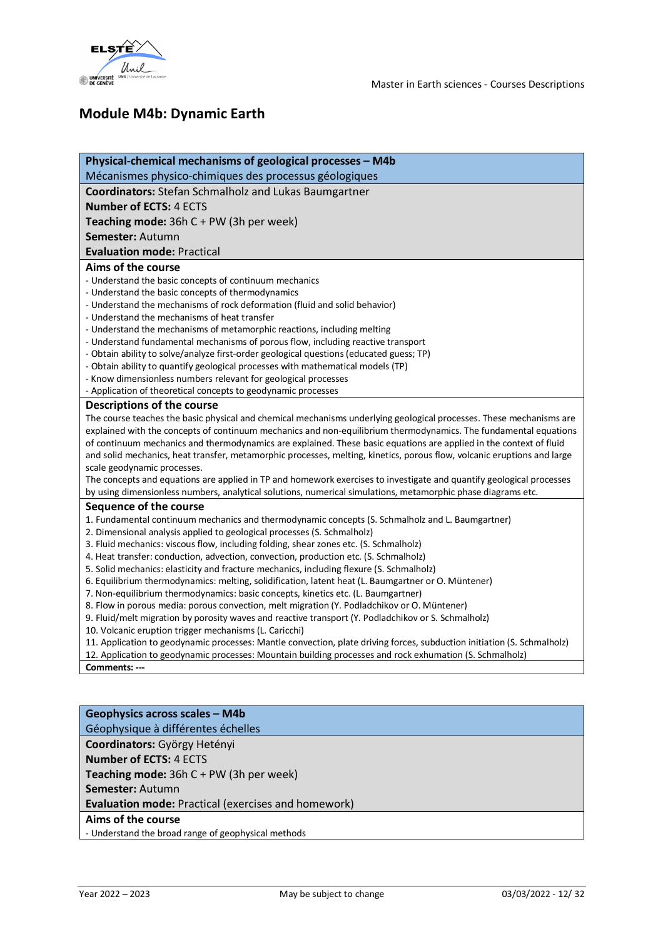

## **Module M4b: Dynamic Earth**

| Physical-chemical mechanisms of geological processes - M4b                                                              |
|-------------------------------------------------------------------------------------------------------------------------|
| Mécanismes physico-chimiques des processus géologiques                                                                  |
| Coordinators: Stefan Schmalholz and Lukas Baumgartner                                                                   |
| <b>Number of ECTS: 4 ECTS</b>                                                                                           |
| Teaching mode: 36h C + PW (3h per week)                                                                                 |
| Semester: Autumn                                                                                                        |
| <b>Evaluation mode: Practical</b>                                                                                       |
| Aims of the course                                                                                                      |
| - Understand the basic concepts of continuum mechanics                                                                  |
| - Understand the basic concepts of thermodynamics                                                                       |
| - Understand the mechanisms of rock deformation (fluid and solid behavior)                                              |
| - Understand the mechanisms of heat transfer                                                                            |
| - Understand the mechanisms of metamorphic reactions, including melting                                                 |
| - Understand fundamental mechanisms of porous flow, including reactive transport                                        |
| - Obtain ability to solve/analyze first-order geological questions (educated guess; TP)                                 |
| - Obtain ability to quantify geological processes with mathematical models (TP)                                         |
| - Know dimensionless numbers relevant for geological processes                                                          |
| - Application of theoretical concepts to geodynamic processes                                                           |
| Descriptions of the course                                                                                              |
| The course teaches the basic physical and chemical mechanisms underlying geological processes. These mechanisms are     |
| explained with the concepts of continuum mechanics and non-equilibrium thermodynamics. The fundamental equations        |
| of continuum mechanics and thermodynamics are explained. These basic equations are applied in the context of fluid      |
| and solid mechanics, heat transfer, metamorphic processes, melting, kinetics, porous flow, volcanic eruptions and large |
| scale geodynamic processes.                                                                                             |
| The concepts and equations are applied in TP and homework exercises to investigate and quantify geological processes    |
| by using dimensionless numbers, analytical solutions, numerical simulations, metamorphic phase diagrams etc.            |
| Sequence of the course                                                                                                  |
| 1. Fundamental continuum mechanics and thermodynamic concepts (S. Schmalholz and L. Baumgartner)                        |
| 2. Dimensional analysis applied to geological processes (S. Schmalholz)                                                 |
| 3. Fluid mechanics: viscous flow, including folding, shear zones etc. (S. Schmalholz)                                   |
| 4. Heat transfer: conduction, advection, convection, production etc. (S. Schmalholz)                                    |
| 5. Solid mechanics: elasticity and fracture mechanics, including flexure (S. Schmalholz)                                |
| 6. Equilibrium thermodynamics: melting, solidification, latent heat (L. Baumgartner or O. Müntener)                     |
| 7. Non-equilibrium thermodynamics: basic concepts, kinetics etc. (L. Baumgartner)                                       |
| 8. Flow in porous media: porous convection, melt migration (Y. Podladchikov or O. Müntener)                             |
| 9. Fluid/melt migration by porosity waves and reactive transport (Y. Podladchikov or S. Schmalholz)                     |
| 10. Volcanic eruption trigger mechanisms (L. Caricchi)                                                                  |
| 11. Application to geodynamic processes: Mantle convection, plate driving forces, subduction initiation (S. Schmalholz) |
| 12. Application to geodynamic processes: Mountain building processes and rock exhumation (S. Schmalholz)                |
| Comments: ---                                                                                                           |
|                                                                                                                         |

| Geophysics across scales - M4b                             |
|------------------------------------------------------------|
| Géophysique à différentes échelles                         |
| Coordinators: György Hetényi                               |
| <b>Number of ECTS: 4 ECTS</b>                              |
| <b>Teaching mode:</b> $36hC + PW$ (3h per week)            |
| Semester: Autumn                                           |
| <b>Evaluation mode: Practical (exercises and homework)</b> |
| Aims of the course                                         |
| - Understand the broad range of geophysical methods        |
|                                                            |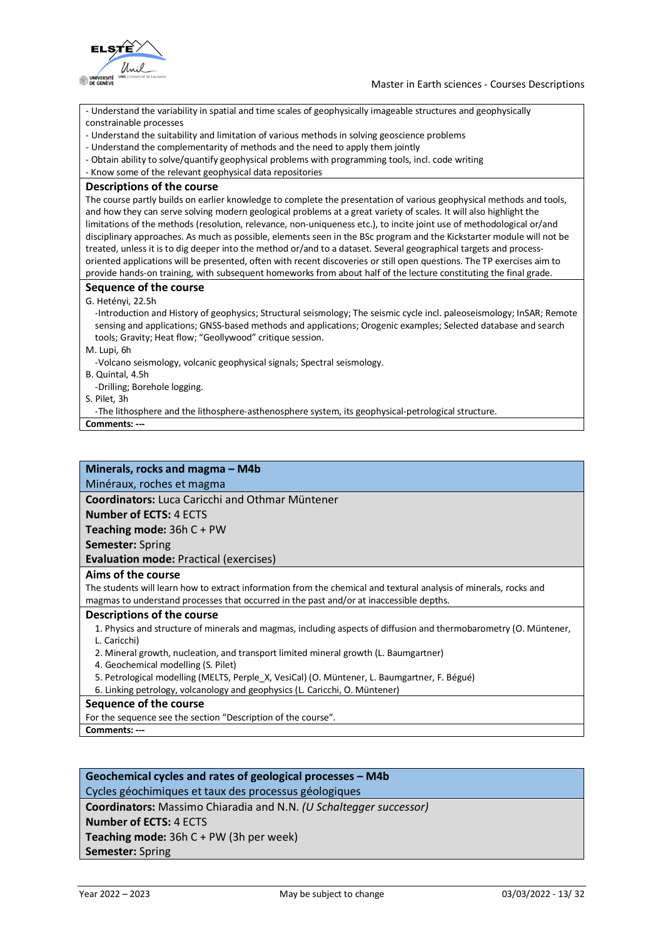

- Understand the variability in spatial and time scales of geophysically imageable structures and geophysically constrainable processes

- Understand the suitability and limitation of various methods in solving geoscience problems
- Understand the complementarity of methods and the need to apply them jointly
- Obtain ability to solve/quantify geophysical problems with programming tools, incl. code writing
- Know some of the relevant geophysical data repositories

#### **Descriptions of the course**

The course partly builds on earlier knowledge to complete the presentation of various geophysical methods and tools, and how they can serve solving modern geological problems at a great variety of scales. It will also highlight the limitations of the methods (resolution, relevance, non-uniqueness etc.), to incite joint use of methodological or/and disciplinary approaches. As much as possible, elements seen in the BSc program and the Kickstarter module will not be treated, unless it is to dig deeper into the method or/and to a dataset. Several geographical targets and processoriented applications will be presented, often with recent discoveries or still open questions. The TP exercises aim to provide hands-on training, with subsequent homeworks from about half of the lecture constituting the final grade.

### **Sequence of the course**

#### G. Hetényi, 22.5h

-Introduction and History of geophysics; Structural seismology; The seismic cycle incl. paleoseismology; InSAR; Remote sensing and applications; GNSS-based methods and applications; Orogenic examples; Selected database and search tools; Gravity; Heat flow; "Geollywood" critique session.

M. Lupi, 6h

-Volcano seismology, volcanic geophysical signals; Spectral seismology.

B. Quintal, 4.5h

-Drilling; Borehole logging.

S. Pilet, 3h

-The lithosphere and the lithosphere-asthenosphere system, its geophysical-petrological structure.

**Comments: ---**

### **Minerals, rocks and magma – M4b**

Minéraux, roches et magma

**Coordinators:** Luca Caricchi and Othmar Müntener

**Number of ECTS:** 4 ECTS

**Teaching mode:** 36h C + PW

**Semester:** Spring

**Evaluation mode:** Practical (exercises)

### **Aims of the course**

The students will learn how to extract information from the chemical and textural analysis of minerals, rocks and magmas to understand processes that occurred in the past and/or at inaccessible depths.

### **Descriptions of the course**

1. Physics and structure of minerals and magmas, including aspects of diffusion and thermobarometry (O. Müntener,

L. Caricchi)

2. Mineral growth, nucleation, and transport limited mineral growth (L. Baumgartner)

- 4. Geochemical modelling (S. Pilet)
- 5. Petrological modelling (MELTS, Perple\_X, VesiCal) (O. Müntener, L. Baumgartner, F. Bégué)

6. Linking petrology, volcanology and geophysics (L. Caricchi, O. Müntener)

### **Sequence of the course**

For the sequence see the section "Description of the course".

**Comments: ---**

### **Geochemical cycles and rates of geological processes – M4b** Cycles géochimiques et taux des processus géologiques

**Coordinators:** Massimo Chiaradia and N.N. *(U Schaltegger successor)*

**Number of ECTS:** 4 ECTS

**Teaching mode:** 36h C + PW (3h per week)

**Semester:** Spring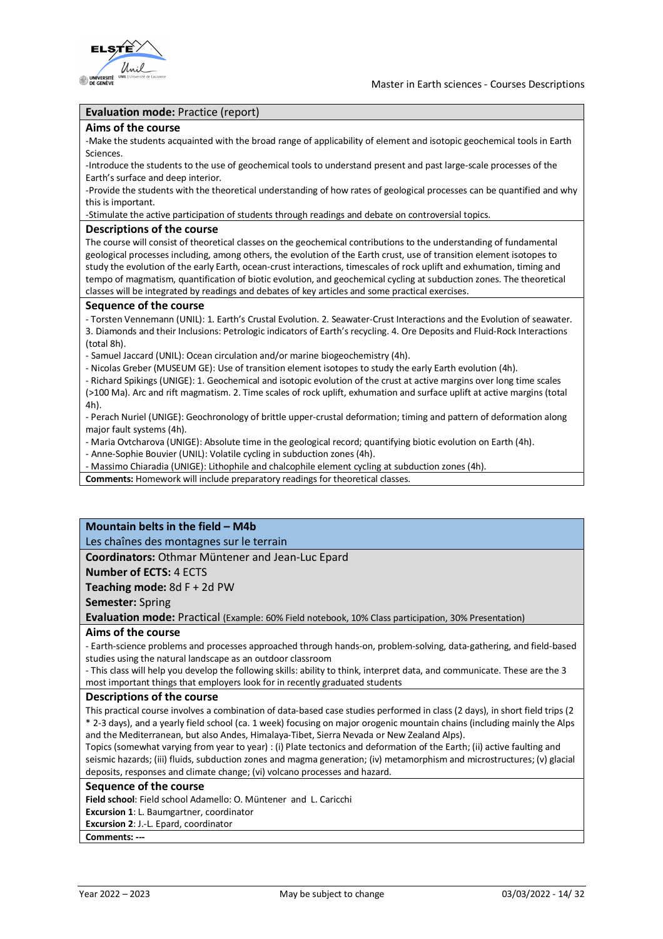

### **Evaluation mode:** Practice (report)

#### **Aims of the course**

-Make the students acquainted with the broad range of applicability of element and isotopic geochemical tools in Earth Sciences.

-Introduce the students to the use of geochemical tools to understand present and past large-scale processes of the Earth's surface and deep interior.

-Provide the students with the theoretical understanding of how rates of geological processes can be quantified and why this is important.

-Stimulate the active participation of students through readings and debate on controversial topics.

### **Descriptions of the course**

The course will consist of theoretical classes on the geochemical contributions to the understanding of fundamental geological processes including, among others, the evolution of the Earth crust, use of transition element isotopes to study the evolution of the early Earth, ocean-crust interactions, timescales of rock uplift and exhumation, timing and tempo of magmatism, quantification of biotic evolution, and geochemical cycling at subduction zones. The theoretical classes will be integrated by readings and debates of key articles and some practical exercises.

#### **Sequence of the course**

- Torsten Vennemann (UNIL): 1. Earth's Crustal Evolution. 2. Seawater-Crust Interactions and the Evolution of seawater. 3. Diamonds and their Inclusions: Petrologic indicators of Earth's recycling. 4. Ore Deposits and Fluid-Rock Interactions (total 8h).

- Samuel Jaccard (UNIL): Ocean circulation and/or marine biogeochemistry (4h).

- Nicolas Greber (MUSEUM GE): Use of transition element isotopes to study the early Earth evolution (4h).

- Richard Spikings (UNIGE): 1. Geochemical and isotopic evolution of the crust at active margins over long time scales (>100 Ma). Arc and rift magmatism. 2. Time scales of rock uplift, exhumation and surface uplift at active margins (total

4h).

- Perach Nuriel (UNIGE): Geochronology of brittle upper-crustal deformation; timing and pattern of deformation along major fault systems (4h).

- Maria Ovtcharova (UNIGE): Absolute time in the geological record; quantifying biotic evolution on Earth (4h).

- Anne-Sophie Bouvier (UNIL): Volatile cycling in subduction zones (4h).

- Massimo Chiaradia (UNIGE): Lithophile and chalcophile element cycling at subduction zones (4h).

**Comments:** Homework will include preparatory readings for theoretical classes.

### **Mountain belts in the field – M4b**

Les chaînes des montagnes sur le terrain

### **Coordinators:** Othmar Müntener and Jean-Luc Epard

**Number of ECTS:** 4 ECTS

**Teaching mode:** 8d F + 2d PW

**Semester:** Spring

**Evaluation mode:** Practical (Example: 60% Field notebook, 10% Class participation, 30% Presentation)

### **Aims of the course**

- Earth-science problems and processes approached through hands-on, problem-solving, data-gathering, and field-based studies using the natural landscape as an outdoor classroom

- This class will help you develop the following skills: ability to think, interpret data, and communicate. These are the 3 most important things that employers look for in recently graduated students

#### **Descriptions of the course**

This practical course involves a combination of data-based case studies performed in class (2 days), in short field trips (2 \* 2-3 days), and a yearly field school (ca. 1 week) focusing on major orogenic mountain chains (including mainly the Alps and the Mediterranean, but also Andes, Himalaya-Tibet, Sierra Nevada or New Zealand Alps).

Topics (somewhat varying from year to year) : (i) Plate tectonics and deformation of the Earth; (ii) active faulting and seismic hazards; (iii) fluids, subduction zones and magma generation; (iv) metamorphism and microstructures; (v) glacial deposits, responses and climate change; (vi) volcano processes and hazard.

### **Sequence of the course**

**Field school**: Field school Adamello: O. Müntener and L. Caricchi

**Excursion 1**: L. Baumgartner, coordinator

**Excursion 2**: J.-L. Epard, coordinator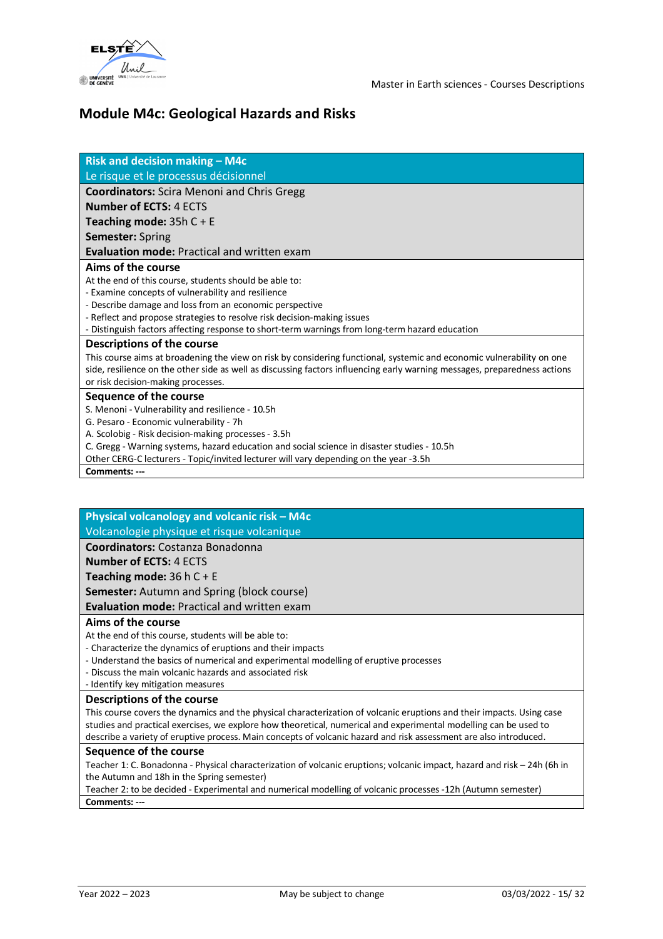

### **Module M4c: Geological Hazards and Risks**

| <b>Risk and decision making - M4c</b>                                                                                     |
|---------------------------------------------------------------------------------------------------------------------------|
| Le risque et le processus décisionnel                                                                                     |
| <b>Coordinators:</b> Scira Menoni and Chris Gregg                                                                         |
| <b>Number of ECTS: 4 ECTS</b>                                                                                             |
| Teaching mode: $35hC + E$                                                                                                 |
| <b>Semester: Spring</b>                                                                                                   |
| <b>Evaluation mode: Practical and written exam</b>                                                                        |
| Aims of the course                                                                                                        |
| At the end of this course, students should be able to:                                                                    |
| - Examine concepts of vulnerability and resilience                                                                        |
| - Describe damage and loss from an economic perspective                                                                   |
| - Reflect and propose strategies to resolve risk decision-making issues                                                   |
| - Distinguish factors affecting response to short-term warnings from long-term hazard education                           |
| <b>Descriptions of the course</b>                                                                                         |
| This course aims at broadening the view on risk by considering functional, systemic and economic vulnerability on one     |
| side, resilience on the other side as well as discussing factors influencing early warning messages, preparedness actions |
| or risk decision-making processes.                                                                                        |
| Sequence of the course                                                                                                    |
| S. Menoni - Vulnerability and resilience - 10.5h                                                                          |
| G. Pesaro - Economic vulnerability - 7h                                                                                   |
| A. Scolobig - Risk decision-making processes - 3.5h                                                                       |
| C. Gregg - Warning systems, hazard education and social science in disaster studies - 10.5h                               |
| Other CERG-C lecturers - Topic/invited lecturer will vary depending on the year -3.5h                                     |
| Comments: ---                                                                                                             |

**Physical volcanology and volcanic risk – M4c**

Volcanologie physique et risque volcanique

**Coordinators:** Costanza Bonadonna

**Number of ECTS:** 4 ECTS

**Teaching mode:** 36 h C + E

**Semester:** Autumn and Spring (block course)

### **Evaluation mode:** Practical and written exam

### **Aims of the course**

At the end of this course, students will be able to:

- Characterize the dynamics of eruptions and their impacts

- Understand the basics of numerical and experimental modelling of eruptive processes
- Discuss the main volcanic hazards and associated risk

### - Identify key mitigation measures

### **Descriptions of the course**

This course covers the dynamics and the physical characterization of volcanic eruptions and their impacts. Using case studies and practical exercises, we explore how theoretical, numerical and experimental modelling can be used to describe a variety of eruptive process. Main concepts of volcanic hazard and risk assessment are also introduced.

### **Sequence of the course**

Teacher 1: C. Bonadonna - Physical characterization of volcanic eruptions; volcanic impact, hazard and risk – 24h (6h in the Autumn and 18h in the Spring semester)

Teacher 2: to be decided - Experimental and numerical modelling of volcanic processes -12h (Autumn semester) **Comments: ---**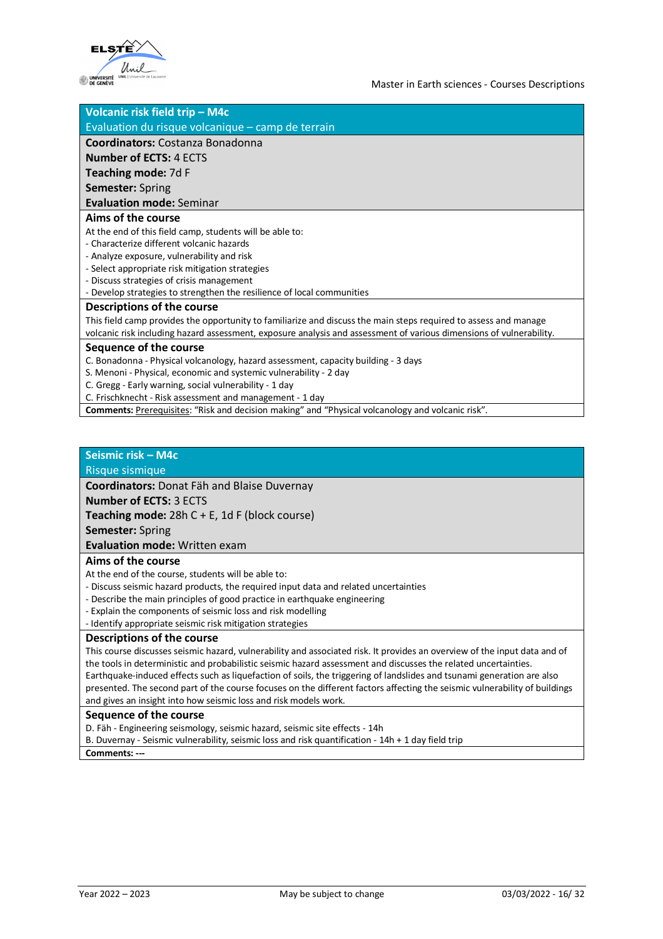

| Volcanic risk field trip - M4c                                                                                      |
|---------------------------------------------------------------------------------------------------------------------|
| Evaluation du risque volcanique – camp de terrain                                                                   |
| <b>Coordinators:</b> Costanza Bonadonna                                                                             |
| <b>Number of ECTS: 4 ECTS</b>                                                                                       |
| Teaching mode: 7d F                                                                                                 |
| <b>Semester: Spring</b>                                                                                             |
| <b>Evaluation mode: Seminar</b>                                                                                     |
| Aims of the course                                                                                                  |
| At the end of this field camp, students will be able to:                                                            |
| - Characterize different volcanic hazards                                                                           |
| - Analyze exposure, vulnerability and risk                                                                          |
| - Select appropriate risk mitigation strategies                                                                     |
| - Discuss strategies of crisis management                                                                           |
| - Develop strategies to strengthen the resilience of local communities                                              |
| <b>Descriptions of the course</b>                                                                                   |
| This field camp provides the opportunity to familiarize and discuss the main steps required to assess and manage    |
| volcanic risk including hazard assessment, exposure analysis and assessment of various dimensions of vulnerability. |
| Sequence of the course                                                                                              |
| C. Bonadonna - Physical volcanology, hazard assessment, capacity building - 3 days                                  |
| S. Menoni - Physical, economic and systemic vulnerability - 2 day                                                   |
| C. Gregg - Early warning, social vulnerability - 1 day                                                              |
| C. Frischknecht - Risk assessment and management - 1 day                                                            |

**Comments:** Prerequisites: "Risk and decision making" and "Physical volcanology and volcanic risk".

### **Seismic risk – M4c**

### Risque sismique

**Coordinators:** Donat Fäh and Blaise Duvernay

#### **Number of ECTS:** 3 ECTS

**Teaching mode:** 28h C + E, 1d F (block course)

**Semester:** Spring

**Evaluation mode:** Written exam

### **Aims of the course**

At the end of the course, students will be able to:

- Discuss seismic hazard products, the required input data and related uncertainties
- Describe the main principles of good practice in earthquake engineering
- Explain the components of seismic loss and risk modelling
- Identify appropriate seismic risk mitigation strategies

### **Descriptions of the course**

This course discusses seismic hazard, vulnerability and associated risk. It provides an overview of the input data and of the tools in deterministic and probabilistic seismic hazard assessment and discusses the related uncertainties. Earthquake-induced effects such as liquefaction of soils, the triggering of landslides and tsunami generation are also presented. The second part of the course focuses on the different factors affecting the seismic vulnerability of buildings and gives an insight into how seismic loss and risk models work.

#### **Sequence of the course**

D. Fäh - Engineering seismology, seismic hazard, seismic site effects - 14h

B. Duvernay - Seismic vulnerability, seismic loss and risk quantification - 14h + 1 day field trip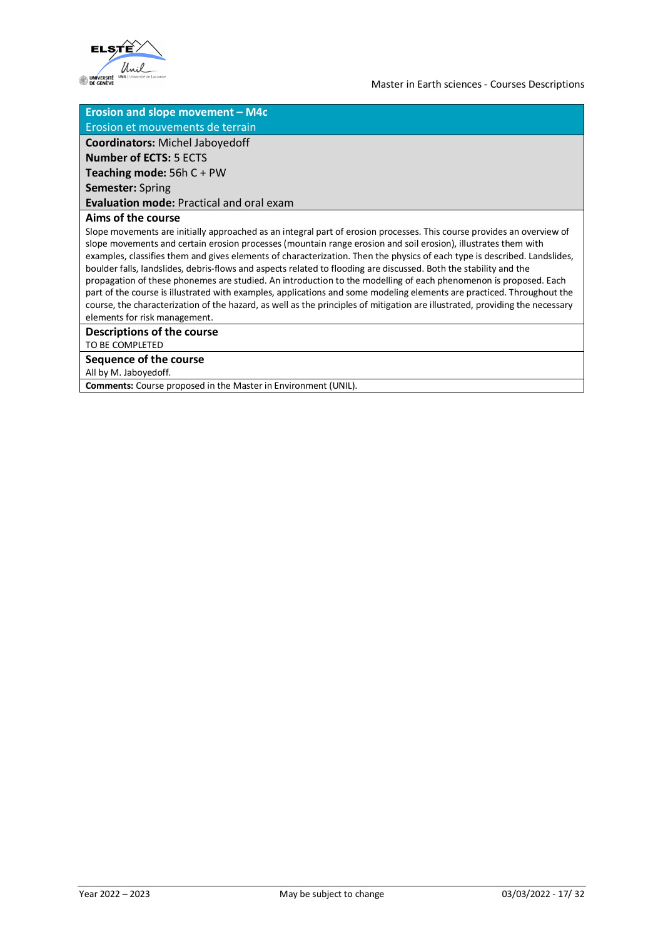

### **Erosion and slope movement – M4c**

Erosion et mouvements de terrain

**Coordinators:** Michel Jaboyedoff

**Number of ECTS:** 5 ECTS

**Teaching mode:** 56h C + PW

**Semester:** Spring

**Evaluation mode:** Practical and oral exam

### **Aims of the course**

Slope movements are initially approached as an integral part of erosion processes. This course provides an overview of slope movements and certain erosion processes (mountain range erosion and soil erosion), illustrates them with examples, classifies them and gives elements of characterization. Then the physics of each type is described. Landslides, boulder falls, landslides, debris-flows and aspects related to flooding are discussed. Both the stability and the propagation of these phonemes are studied. An introduction to the modelling of each phenomenon is proposed. Each part of the course is illustrated with examples, applications and some modeling elements are practiced. Throughout the course, the characterization of the hazard, as well as the principles of mitigation are illustrated, providing the necessary elements for risk management.

**Descriptions of the course**

TO BE COMPLETED

### **Sequence of the course**

All by M. Jaboyedoff.

**Comments:** Course proposed in the Master in Environment (UNIL).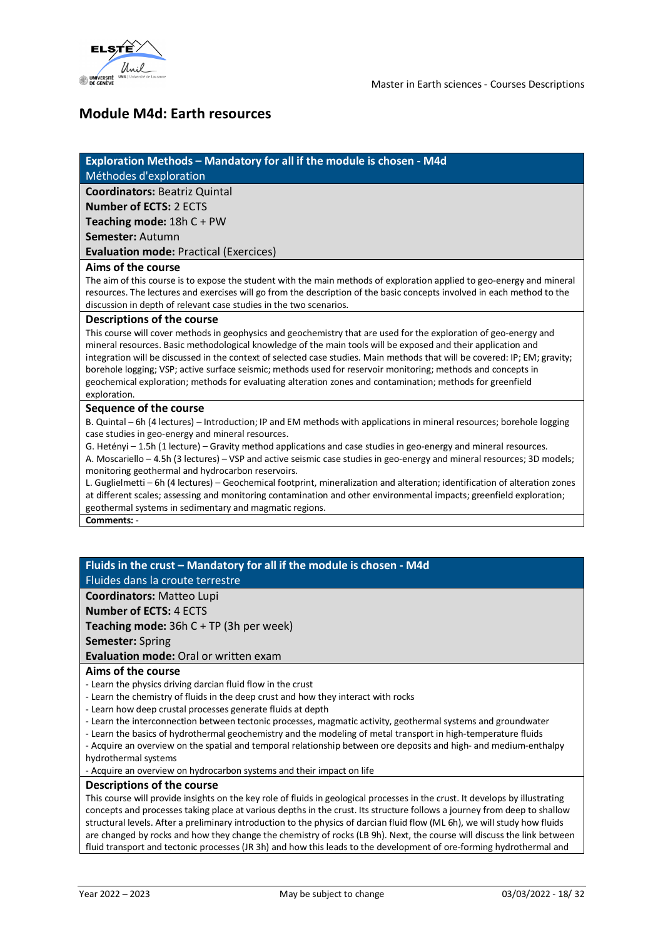

### **Module M4d: Earth resources**

### **Exploration Methods – Mandatory for all if the module is chosen - M4d**

Méthodes d'exploration

**Coordinators:** Beatriz Quintal

**Number of ECTS:** 2 ECTS

**Teaching mode:** 18h C + PW

**Semester:** Autumn

**Evaluation mode:** Practical (Exercices)

### **Aims of the course**

The aim of this course is to expose the student with the main methods of exploration applied to geo-energy and mineral resources. The lectures and exercises will go from the description of the basic concepts involved in each method to the discussion in depth of relevant case studies in the two scenarios.

### **Descriptions of the course**

This course will cover methods in geophysics and geochemistry that are used for the exploration of geo-energy and mineral resources. Basic methodological knowledge of the main tools will be exposed and their application and integration will be discussed in the context of selected case studies. Main methods that will be covered: IP; EM; gravity; borehole logging; VSP; active surface seismic; methods used for reservoir monitoring; methods and concepts in geochemical exploration; methods for evaluating alteration zones and contamination; methods for greenfield exploration.

### **Sequence of the course**

B. Quintal – 6h (4 lectures) – Introduction; IP and EM methods with applications in mineral resources; borehole logging case studies in geo-energy and mineral resources.

G. Hetényi – 1.5h (1 lecture) – Gravity method applications and case studies in geo-energy and mineral resources.

A. Moscariello – 4.5h (3 lectures) – VSP and active seismic case studies in geo-energy and mineral resources; 3D models; monitoring geothermal and hydrocarbon reservoirs.

L. Guglielmetti – 6h (4 lectures) – Geochemical footprint, mineralization and alteration; identification of alteration zones at different scales; assessing and monitoring contamination and other environmental impacts; greenfield exploration; geothermal systems in sedimentary and magmatic regions.

**Comments:** -

### **Fluids in the crust – Mandatory for all if the module is chosen - M4d** Fluides dans la croute terrestre

**Coordinators:** Matteo Lupi

**Number of ECTS:** 4 ECTS

**Teaching mode:** 36h C + TP (3h per week)

**Semester:** Spring

**Evaluation mode:** Oral or written exam

### **Aims of the course**

- Learn the physics driving darcian fluid flow in the crust

- Learn the chemistry of fluids in the deep crust and how they interact with rocks
- Learn how deep crustal processes generate fluids at depth
- Learn the interconnection between tectonic processes, magmatic activity, geothermal systems and groundwater
- Learn the basics of hydrothermal geochemistry and the modeling of metal transport in high-temperature fluids
- Acquire an overview on the spatial and temporal relationship between ore deposits and high- and medium-enthalpy hydrothermal systems

- Acquire an overview on hydrocarbon systems and their impact on life

### **Descriptions of the course**

This course will provide insights on the key role of fluids in geological processes in the crust. It develops by illustrating concepts and processes taking place at various depths in the crust. Its structure follows a journey from deep to shallow structural levels. After a preliminary introduction to the physics of darcian fluid flow (ML 6h), we will study how fluids are changed by rocks and how they change the chemistry of rocks (LB 9h). Next, the course will discuss the link between fluid transport and tectonic processes (JR 3h) and how this leads to the development of ore-forming hydrothermal and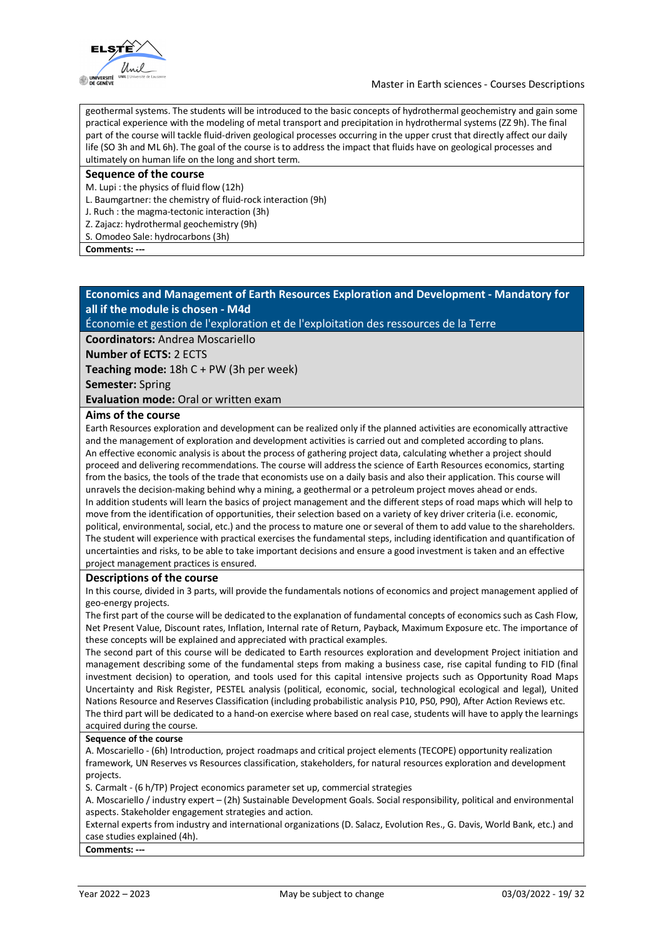

geothermal systems. The students will be introduced to the basic concepts of hydrothermal geochemistry and gain some practical experience with the modeling of metal transport and precipitation in hydrothermal systems (ZZ 9h). The final part of the course will tackle fluid-driven geological processes occurring in the upper crust that directly affect our daily life (SO 3h and ML 6h). The goal of the course is to address the impact that fluids have on geological processes and ultimately on human life on the long and short term.

#### **Sequence of the course**

M. Lupi : the physics of fluid flow (12h)

- L. Baumgartner: the chemistry of fluid-rock interaction (9h)
- J. Ruch : the magma-tectonic interaction (3h)
- Z. Zajacz: hydrothermal geochemistry (9h)

S. Omodeo Sale: hydrocarbons (3h)

Comments: -

### **Economics and Management of Earth Resources Exploration and Development - Mandatory for all if the module is chosen - M4d**

Économie et gestion de l'exploration et de l'exploitation des ressources de la Terre

**Coordinators:** Andrea Moscariello

**Number of ECTS:** 2 ECTS

**Teaching mode:** 18h C + PW (3h per week)

**Semester:** Spring

**Evaluation mode:** Oral or written exam

### **Aims of the course**

Earth Resources exploration and development can be realized only if the planned activities are economically attractive and the management of exploration and development activities is carried out and completed according to plans. An effective economic analysis is about the process of gathering project data, calculating whether a project should proceed and delivering recommendations. The course will address the science of Earth Resources economics, starting from the basics, the tools of the trade that economists use on a daily basis and also their application. This course will unravels the decision-making behind why a mining, a geothermal or a petroleum project moves ahead or ends. In addition students will learn the basics of project management and the different steps of road maps which will help to move from the identification of opportunities, their selection based on a variety of key driver criteria (i.e. economic, political, environmental, social, etc.) and the process to mature one or several of them to add value to the shareholders. The student will experience with practical exercises the fundamental steps, including identification and quantification of uncertainties and risks, to be able to take important decisions and ensure a good investment is taken and an effective project management practices is ensured.

### **Descriptions of the course**

In this course, divided in 3 parts, will provide the fundamentals notions of economics and project management applied of geo-energy projects.

The first part of the course will be dedicated to the explanation of fundamental concepts of economics such as Cash Flow, Net Present Value, Discount rates, Inflation, Internal rate of Return, Payback, Maximum Exposure etc. The importance of these concepts will be explained and appreciated with practical examples.

The second part of this course will be dedicated to Earth resources exploration and development Project initiation and management describing some of the fundamental steps from making a business case, rise capital funding to FID (final investment decision) to operation, and tools used for this capital intensive projects such as Opportunity Road Maps Uncertainty and Risk Register, PESTEL analysis (political, economic, social, technological ecological and legal), United Nations Resource and Reserves Classification (including probabilistic analysis P10, P50, P90), After Action Reviews etc. The third part will be dedicated to a hand-on exercise where based on real case, students will have to apply the learnings acquired during the course.

### **Sequence of the course**

A. Moscariello - (6h) Introduction, project roadmaps and critical project elements (TECOPE) opportunity realization framework, UN Reserves vs Resources classification, stakeholders, for natural resources exploration and development projects.

S. Carmalt - (6 h/TP) Project economics parameter set up, commercial strategies

A. Moscariello / industry expert – (2h) Sustainable Development Goals. Social responsibility, political and environmental aspects. Stakeholder engagement strategies and action.

External experts from industry and international organizations (D. Salacz, Evolution Res., G. Davis, World Bank, etc.) and case studies explained (4h).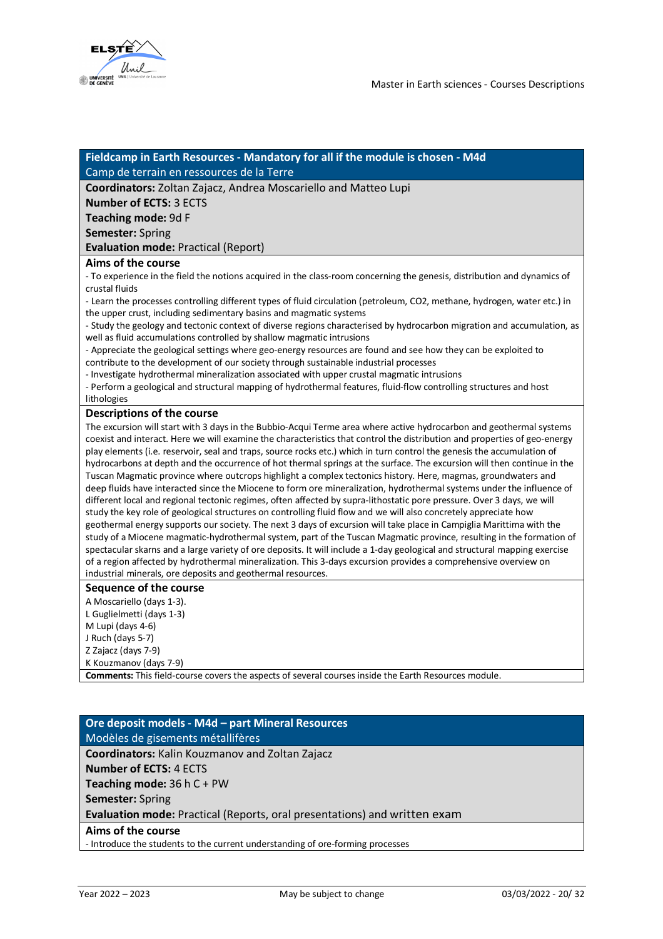

### **Fieldcamp in Earth Resources - Mandatory for all if the module is chosen - M4d** Camp de terrain en ressources de la Terre

**Coordinators:** Zoltan Zajacz, Andrea Moscariello and Matteo Lupi

**Number of ECTS:** 3 ECTS

**Teaching mode:** 9d F

**Semester:** Spring

**Evaluation mode:** Practical (Report)

### **Aims of the course**

- To experience in the field the notions acquired in the class-room concerning the genesis, distribution and dynamics of crustal fluids

- Learn the processes controlling different types of fluid circulation (petroleum, CO2, methane, hydrogen, water etc.) in the upper crust, including sedimentary basins and magmatic systems

- Study the geology and tectonic context of diverse regions characterised by hydrocarbon migration and accumulation, as well as fluid accumulations controlled by shallow magmatic intrusions

- Appreciate the geological settings where geo-energy resources are found and see how they can be exploited to contribute to the development of our society through sustainable industrial processes

- Investigate hydrothermal mineralization associated with upper crustal magmatic intrusions

- Perform a geological and structural mapping of hydrothermal features, fluid-flow controlling structures and host lithologies

### **Descriptions of the course**

The excursion will start with 3 days in the Bubbio-Acqui Terme area where active hydrocarbon and geothermal systems coexist and interact. Here we will examine the characteristics that control the distribution and properties of geo-energy play elements (i.e. reservoir, seal and traps, source rocks etc.) which in turn control the genesis the accumulation of hydrocarbons at depth and the occurrence of hot thermal springs at the surface. The excursion will then continue in the Tuscan Magmatic province where outcrops highlight a complex tectonics history. Here, magmas, groundwaters and deep fluids have interacted since the Miocene to form ore mineralization, hydrothermal systems under the influence of different local and regional tectonic regimes, often affected by supra-lithostatic pore pressure. Over 3 days, we will study the key role of geological structures on controlling fluid flow and we will also concretely appreciate how geothermal energy supports our society. The next 3 days of excursion will take place in Campiglia Marittima with the study of a Miocene magmatic-hydrothermal system, part of the Tuscan Magmatic province, resulting in the formation of spectacular skarns and a large variety of ore deposits. It will include a 1-day geological and structural mapping exercise of a region affected by hydrothermal mineralization. This 3-days excursion provides a comprehensive overview on industrial minerals, ore deposits and geothermal resources.

### **Sequence of the course**

A Moscariello (days 1-3). L Guglielmetti (days 1-3) M Lupi (days 4-6) J Ruch (days 5-7) Z Zajacz (days 7-9) K Kouzmanov (days 7-9)

**Comments:** This field-course covers the aspects of several courses inside the Earth Resources module.

# **Ore deposit models - M4d – part Mineral Resources**

Modèles de gisements métallifères

**Coordinators:** Kalin Kouzmanov and Zoltan Zajacz

**Number of ECTS:** 4 ECTS

**Teaching mode:** 36 h C + PW

**Semester:** Spring

**Evaluation mode:** Practical (Reports, oral presentations) and written exam

**Aims of the course**

- Introduce the students to the current understanding of ore-forming processes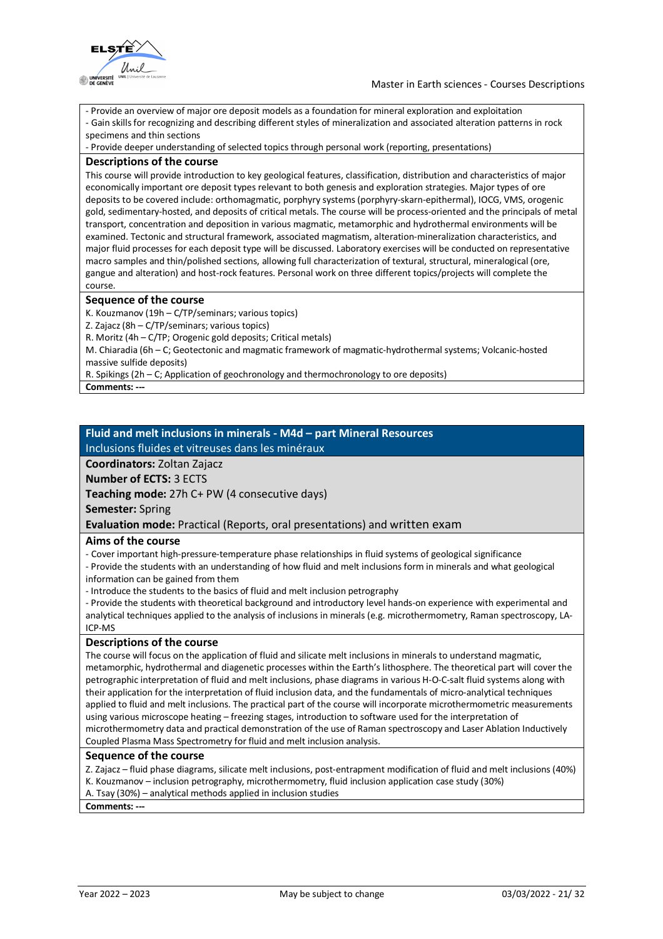

- Provide an overview of major ore deposit models as a foundation for mineral exploration and exploitation

- Gain skills for recognizing and describing different styles of mineralization and associated alteration patterns in rock specimens and thin sections

- Provide deeper understanding of selected topics through personal work (reporting, presentations)

### **Descriptions of the course**

This course will provide introduction to key geological features, classification, distribution and characteristics of major economically important ore deposit types relevant to both genesis and exploration strategies. Major types of ore deposits to be covered include: orthomagmatic, porphyry systems (porphyry-skarn-epithermal), IOCG, VMS, orogenic gold, sedimentary-hosted, and deposits of critical metals. The course will be process-oriented and the principals of metal transport, concentration and deposition in various magmatic, metamorphic and hydrothermal environments will be examined. Tectonic and structural framework, associated magmatism, alteration-mineralization characteristics, and major fluid processes for each deposit type will be discussed. Laboratory exercises will be conducted on representative macro samples and thin/polished sections, allowing full characterization of textural, structural, mineralogical (ore, gangue and alteration) and host-rock features. Personal work on three different topics/projects will complete the course.

### **Sequence of the course**

K. Kouzmanov (19h – C/TP/seminars; various topics) Z. Zajacz (8h – C/TP/seminars; various topics) R. Moritz (4h – C/TP; Orogenic gold deposits; Critical metals) M. Chiaradia (6h – C; Geotectonic and magmatic framework of magmatic-hydrothermal systems; Volcanic-hosted massive sulfide deposits) R. Spikings (2h – C; Application of geochronology and thermochronology to ore deposits)

**Comments: ---**

## **Fluid and melt inclusions in minerals - M4d – part Mineral Resources**

Inclusions fluides et vitreuses dans les minéraux

**Coordinators:** Zoltan Zajacz

**Number of ECTS:** 3 ECTS

**Teaching mode:** 27h C+ PW (4 consecutive days)

**Semester:** Spring

**Evaluation mode:** Practical (Reports, oral presentations) and written exam

### **Aims of the course**

- Cover important high-pressure-temperature phase relationships in fluid systems of geological significance

- Provide the students with an understanding of how fluid and melt inclusions form in minerals and what geological information can be gained from them

- Introduce the students to the basics of fluid and melt inclusion petrography

- Provide the students with theoretical background and introductory level hands-on experience with experimental and analytical techniques applied to the analysis of inclusions in minerals (e.g. microthermometry, Raman spectroscopy, LA-ICP-MS

### **Descriptions of the course**

The course will focus on the application of fluid and silicate melt inclusions in minerals to understand magmatic, metamorphic, hydrothermal and diagenetic processes within the Earth's lithosphere. The theoretical part will cover the petrographic interpretation of fluid and melt inclusions, phase diagrams in various H-O-C-salt fluid systems along with their application for the interpretation of fluid inclusion data, and the fundamentals of micro-analytical techniques applied to fluid and melt inclusions. The practical part of the course will incorporate microthermometric measurements using various microscope heating – freezing stages, introduction to software used for the interpretation of microthermometry data and practical demonstration of the use of Raman spectroscopy and Laser Ablation Inductively Coupled Plasma Mass Spectrometry for fluid and melt inclusion analysis.

### **Sequence of the course**

Z. Zajacz – fluid phase diagrams, silicate melt inclusions, post-entrapment modification of fluid and melt inclusions (40%) K. Kouzmanov – inclusion petrography, microthermometry, fluid inclusion application case study (30%) A. Tsay (30%) – analytical methods applied in inclusion studies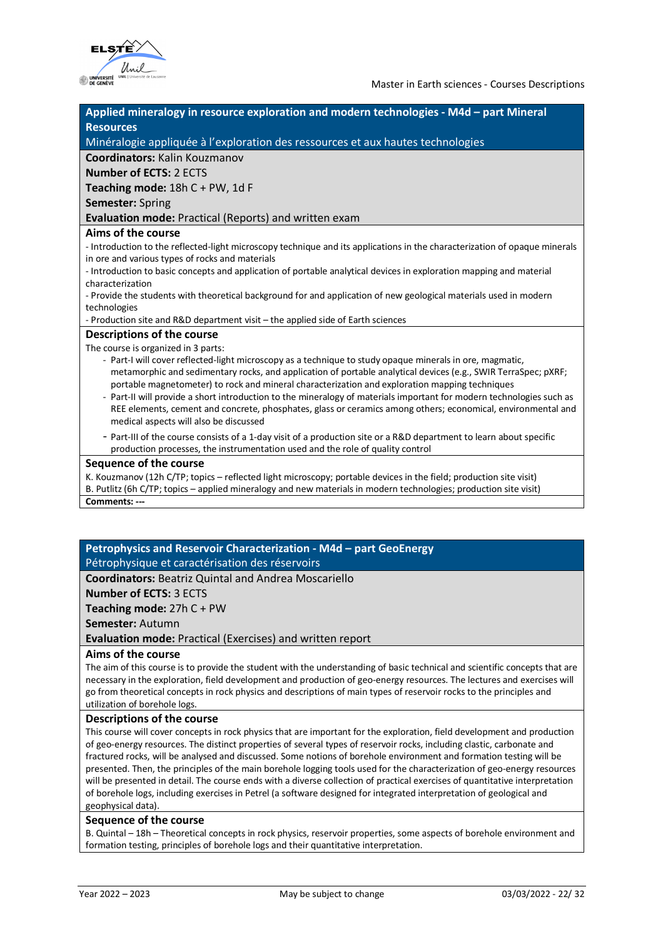

| Applied mineralogy in resource exploration and modern technologies - M4d - part Mineral                                                                                                                                                                                                                                                                                          |
|----------------------------------------------------------------------------------------------------------------------------------------------------------------------------------------------------------------------------------------------------------------------------------------------------------------------------------------------------------------------------------|
| <b>Resources</b>                                                                                                                                                                                                                                                                                                                                                                 |
| Minéralogie appliquée à l'exploration des ressources et aux hautes technologies                                                                                                                                                                                                                                                                                                  |
| <b>Coordinators: Kalin Kouzmanov</b>                                                                                                                                                                                                                                                                                                                                             |
| <b>Number of ECTS: 2 ECTS</b>                                                                                                                                                                                                                                                                                                                                                    |
| Teaching mode: $18hC + PW$ , $1dF$                                                                                                                                                                                                                                                                                                                                               |
| <b>Semester: Spring</b>                                                                                                                                                                                                                                                                                                                                                          |
| Evaluation mode: Practical (Reports) and written exam                                                                                                                                                                                                                                                                                                                            |
| Aims of the course                                                                                                                                                                                                                                                                                                                                                               |
| - Introduction to the reflected-light microscopy technique and its applications in the characterization of opaque minerals                                                                                                                                                                                                                                                       |
| in ore and various types of rocks and materials                                                                                                                                                                                                                                                                                                                                  |
| - Introduction to basic concepts and application of portable analytical devices in exploration mapping and material                                                                                                                                                                                                                                                              |
| characterization                                                                                                                                                                                                                                                                                                                                                                 |
| - Provide the students with theoretical background for and application of new geological materials used in modern<br>technologies                                                                                                                                                                                                                                                |
| - Production site and R&D department visit - the applied side of Earth sciences                                                                                                                                                                                                                                                                                                  |
| <b>Descriptions of the course</b>                                                                                                                                                                                                                                                                                                                                                |
| The course is organized in 3 parts:                                                                                                                                                                                                                                                                                                                                              |
| - Part-I will cover reflected-light microscopy as a technique to study opaque minerals in ore, magmatic,<br>metamorphic and sedimentary rocks, and application of portable analytical devices (e.g., SWIR TerraSpec; pXRF;                                                                                                                                                       |
| portable magnetometer) to rock and mineral characterization and exploration mapping techniques<br>- Part-II will provide a short introduction to the mineralogy of materials important for modern technologies such as<br>REE elements, cement and concrete, phosphates, glass or ceramics among others; economical, environmental and<br>medical aspects will also be discussed |
| - Part-III of the course consists of a 1-day visit of a production site or a R&D department to learn about specific                                                                                                                                                                                                                                                              |

- Part-III of the course consists of a 1-day visit of a production site or a R&D department to learn about specific production processes, the instrumentation used and the role of quality control

#### **Sequence of the course**

K. Kouzmanov (12h C/TP; topics – reflected light microscopy; portable devices in the field; production site visit) B. Putlitz (6h C/TP; topics – applied mineralogy and new materials in modern technologies; production site visit) **Comments: ---**

### **Petrophysics and Reservoir Characterization - M4d – part GeoEnergy** Pétrophysique et caractérisation des réservoirs

**Coordinators:** Beatriz Quintal and Andrea Moscariello

**Number of ECTS:** 3 ECTS

**Teaching mode:** 27h C + PW

**Semester:** Autumn

**Evaluation mode:** Practical (Exercises) and written report

### **Aims of the course**

The aim of this course is to provide the student with the understanding of basic technical and scientific concepts that are necessary in the exploration, field development and production of geo-energy resources. The lectures and exercises will go from theoretical concepts in rock physics and descriptions of main types of reservoir rocks to the principles and utilization of borehole logs.

#### **Descriptions of the course**

This course will cover concepts in rock physics that are important for the exploration, field development and production of geo-energy resources. The distinct properties of several types of reservoir rocks, including clastic, carbonate and fractured rocks, will be analysed and discussed. Some notions of borehole environment and formation testing will be presented. Then, the principles of the main borehole logging tools used for the characterization of geo-energy resources will be presented in detail. The course ends with a diverse collection of practical exercises of quantitative interpretation of borehole logs, including exercises in Petrel (a software designed for integrated interpretation of geological and geophysical data).

### **Sequence of the course**

B. Quintal – 18h – Theoretical concepts in rock physics, reservoir properties, some aspects of borehole environment and formation testing, principles of borehole logs and their quantitative interpretation.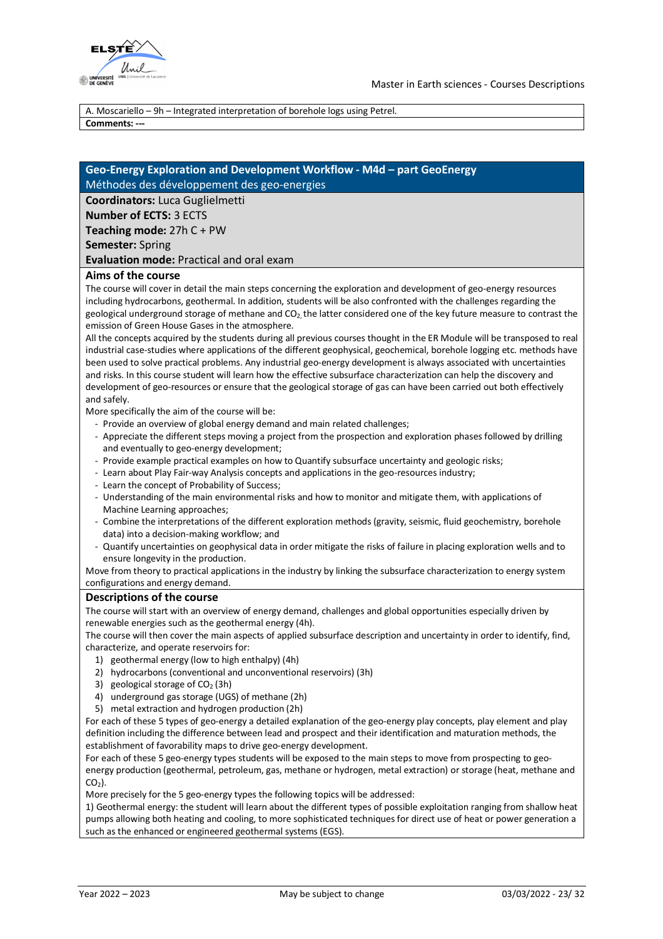

A. Moscariello – 9h – Integrated interpretation of borehole logs using Petrel.

**Comments: ---**

### **Geo-Energy Exploration and Development Workflow - M4d – part GeoEnergy** Méthodes des développement des geo-energies

**Coordinators:** Luca Guglielmetti

**Number of ECTS:** 3 ECTS

**Teaching mode:** 27h C + PW

**Semester:** Spring

**Evaluation mode:** Practical and oral exam

### **Aims of the course**

The course will cover in detail the main steps concerning the exploration and development of geo-energy resources including hydrocarbons, geothermal. In addition, students will be also confronted with the challenges regarding the geological underground storage of methane and  $CO<sub>2</sub>$  the latter considered one of the key future measure to contrast the emission of Green House Gases in the atmosphere.

All the concepts acquired by the students during all previous courses thought in the ER Module will be transposed to real industrial case-studies where applications of the different geophysical, geochemical, borehole logging etc. methods have been used to solve practical problems. Any industrial geo-energy development is always associated with uncertainties and risks. In this course student will learn how the effective subsurface characterization can help the discovery and development of geo-resources or ensure that the geological storage of gas can have been carried out both effectively and safely.

More specifically the aim of the course will be:

- Provide an overview of global energy demand and main related challenges;
- Appreciate the different steps moving a project from the prospection and exploration phases followed by drilling and eventually to geo-energy development;
- Provide example practical examples on how to Quantify subsurface uncertainty and geologic risks;
- Learn about Play Fair-way Analysis concepts and applications in the geo-resources industry;
- Learn the concept of Probability of Success;
- Understanding of the main environmental risks and how to monitor and mitigate them, with applications of Machine Learning approaches;
- Combine the interpretations of the different exploration methods (gravity, seismic, fluid geochemistry, borehole data) into a decision-making workflow; and
- Quantify uncertainties on geophysical data in order mitigate the risks of failure in placing exploration wells and to ensure longevity in the production.

Move from theory to practical applications in the industry by linking the subsurface characterization to energy system configurations and energy demand.

### **Descriptions of the course**

The course will start with an overview of energy demand, challenges and global opportunities especially driven by renewable energies such as the geothermal energy (4h).

The course will then cover the main aspects of applied subsurface description and uncertainty in order to identify, find, characterize, and operate reservoirs for:

- 1) geothermal energy (low to high enthalpy) (4h)
- 2) hydrocarbons (conventional and unconventional reservoirs) (3h)
- 3) geological storage of  $CO<sub>2</sub>$  (3h)
- 4) underground gas storage (UGS) of methane (2h)
- 5) metal extraction and hydrogen production (2h)

For each of these 5 types of geo-energy a detailed explanation of the geo-energy play concepts, play element and play definition including the difference between lead and prospect and their identification and maturation methods, the establishment of favorability maps to drive geo-energy development.

For each of these 5 geo-energy types students will be exposed to the main steps to move from prospecting to geoenergy production (geothermal, petroleum, gas, methane or hydrogen, metal extraction) or storage (heat, methane and  $CO<sub>2</sub>$ ).

More precisely for the 5 geo-energy types the following topics will be addressed:

1) Geothermal energy: the student will learn about the different types of possible exploitation ranging from shallow heat pumps allowing both heating and cooling, to more sophisticated techniques for direct use of heat or power generation a such as the enhanced or engineered geothermal systems (EGS).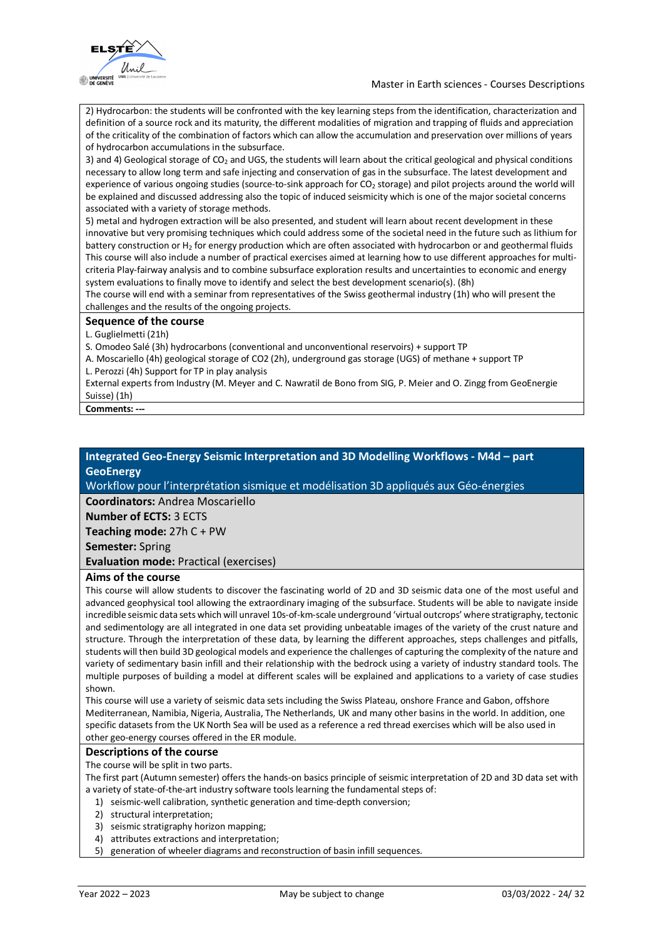

2) Hydrocarbon: the students will be confronted with the key learning steps from the identification, characterization and definition of a source rock and its maturity, the different modalities of migration and trapping of fluids and appreciation of the criticality of the combination of factors which can allow the accumulation and preservation over millions of years of hydrocarbon accumulations in the subsurface.

3) and 4) Geological storage of  $CO<sub>2</sub>$  and UGS, the students will learn about the critical geological and physical conditions necessary to allow long term and safe injecting and conservation of gas in the subsurface. The latest development and experience of various ongoing studies (source-to-sink approach for CO<sub>2</sub> storage) and pilot projects around the world will be explained and discussed addressing also the topic of induced seismicity which is one of the major societal concerns associated with a variety of storage methods.

5) metal and hydrogen extraction will be also presented, and student will learn about recent development in these innovative but very promising techniques which could address some of the societal need in the future such as lithium for battery construction or H<sub>2</sub> for energy production which are often associated with hydrocarbon or and geothermal fluids This course will also include a number of practical exercises aimed at learning how to use different approaches for multicriteria Play-fairway analysis and to combine subsurface exploration results and uncertainties to economic and energy system evaluations to finally move to identify and select the best development scenario(s). (8h)

The course will end with a seminar from representatives of the Swiss geothermal industry (1h) who will present the challenges and the results of the ongoing projects.

### **Sequence of the course**

L. Guglielmetti (21h)

S. Omodeo Salé (3h) hydrocarbons (conventional and unconventional reservoirs) + support TP

A. Moscariello (4h) geological storage of CO2 (2h), underground gas storage (UGS) of methane + support TP L. Perozzi (4h) Support for TP in play analysis

External experts from Industry (M. Meyer and C. Nawratil de Bono from SIG, P. Meier and O. Zingg from GeoEnergie Suisse) (1h)

**Comments: ---**

### **Integrated Geo-Energy Seismic Interpretation and 3D Modelling Workflows - M4d – part GeoEnergy**

Workflow pour l'interprétation sismique et modélisation 3D appliqués aux Géo-énergies

**Coordinators:** Andrea Moscariello

**Number of ECTS:** 3 ECTS

**Teaching mode:** 27h C + PW **Semester:** Spring

**Evaluation mode:** Practical (exercises)

### **Aims of the course**

This course will allow students to discover the fascinating world of 2D and 3D seismic data one of the most useful and advanced geophysical tool allowing the extraordinary imaging of the subsurface. Students will be able to navigate inside incredible seismic data sets which will unravel 10s-of-km-scale underground 'virtual outcrops' where stratigraphy, tectonic and sedimentology are all integrated in one data set providing unbeatable images of the variety of the crust nature and structure. Through the interpretation of these data, by learning the different approaches, steps challenges and pitfalls, students will then build 3D geological models and experience the challenges of capturing the complexity of the nature and variety of sedimentary basin infill and their relationship with the bedrock using a variety of industry standard tools. The multiple purposes of building a model at different scales will be explained and applications to a variety of case studies shown.

This course will use a variety of seismic data sets including the Swiss Plateau, onshore France and Gabon, offshore Mediterranean, Namibia, Nigeria, Australia, The Netherlands, UK and many other basins in the world. In addition, one specific datasets from the UK North Sea will be used as a reference a red thread exercises which will be also used in other geo-energy courses offered in the ER module.

### **Descriptions of the course**

The course will be split in two parts.

The first part (Autumn semester) offers the hands-on basics principle of seismic interpretation of 2D and 3D data set with a variety of state-of-the-art industry software tools learning the fundamental steps of:

- 1) seismic-well calibration, synthetic generation and time-depth conversion;
- 2) structural interpretation;
- 3) seismic stratigraphy horizon mapping;
- 4) attributes extractions and interpretation;
- 5) generation of wheeler diagrams and reconstruction of basin infill sequences.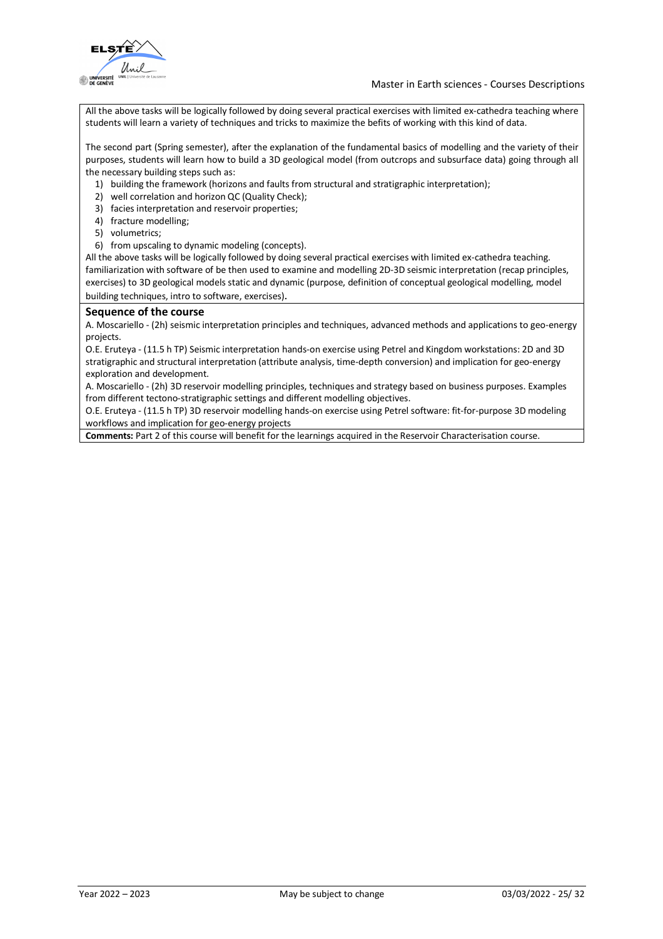

All the above tasks will be logically followed by doing several practical exercises with limited ex-cathedra teaching where students will learn a variety of techniques and tricks to maximize the befits of working with this kind of data.

The second part (Spring semester), after the explanation of the fundamental basics of modelling and the variety of their purposes, students will learn how to build a 3D geological model (from outcrops and subsurface data) going through all the necessary building steps such as:

- 1) building the framework (horizons and faults from structural and stratigraphic interpretation);
- 2) well correlation and horizon QC (Quality Check);
- 3) facies interpretation and reservoir properties;
- 4) fracture modelling;
- 5) volumetrics;
- 6) from upscaling to dynamic modeling (concepts).

All the above tasks will be logically followed by doing several practical exercises with limited ex-cathedra teaching. familiarization with software of be then used to examine and modelling 2D-3D seismic interpretation (recap principles, exercises) to 3D geological models static and dynamic (purpose, definition of conceptual geological modelling, model building techniques, intro to software, exercises).

### **Sequence of the course**

A. Moscariello - (2h) seismic interpretation principles and techniques, advanced methods and applications to geo-energy projects.

O.E. Eruteya - (11.5 h TP) Seismic interpretation hands-on exercise using Petrel and Kingdom workstations: 2D and 3D stratigraphic and structural interpretation (attribute analysis, time-depth conversion) and implication for geo-energy exploration and development.

A. Moscariello - (2h) 3D reservoir modelling principles, techniques and strategy based on business purposes. Examples from different tectono-stratigraphic settings and different modelling objectives.

O.E. Eruteya - (11.5 h TP) 3D reservoir modelling hands-on exercise using Petrel software: fit-for-purpose 3D modeling workflows and implication for geo-energy projects

**Comments:** Part 2 of this course will benefit for the learnings acquired in the Reservoir Characterisation course.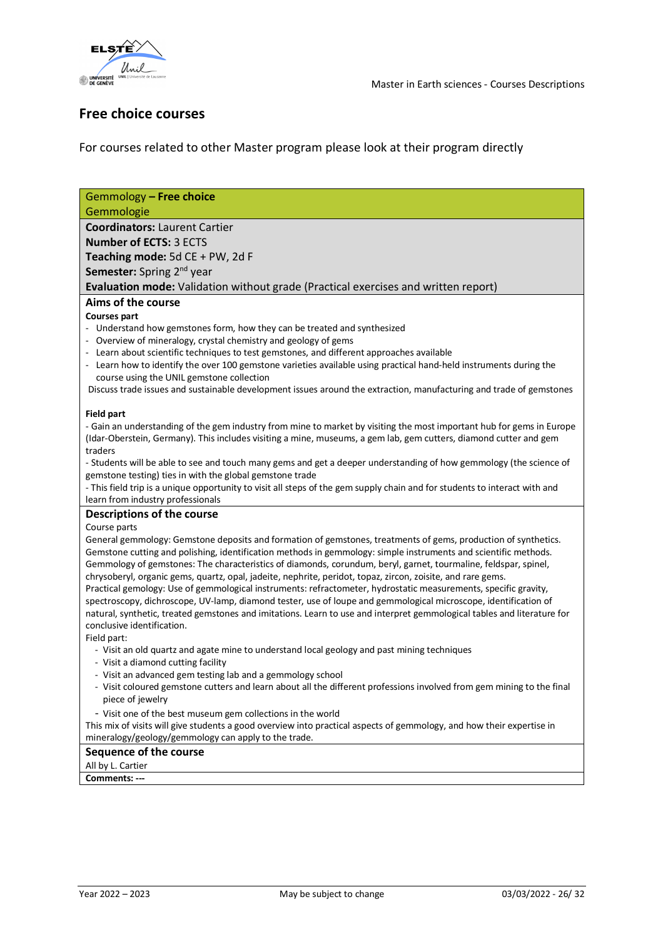



## **Free choice courses**

For courses related to other Master program please look at their program directly

| Gemmology - Free choice                                                                                                                                                                                                            |
|------------------------------------------------------------------------------------------------------------------------------------------------------------------------------------------------------------------------------------|
| Gemmologie                                                                                                                                                                                                                         |
| <b>Coordinators: Laurent Cartier</b>                                                                                                                                                                                               |
| <b>Number of ECTS: 3 ECTS</b>                                                                                                                                                                                                      |
| Teaching mode: 5d CE + PW, 2d F                                                                                                                                                                                                    |
| Semester: Spring 2 <sup>nd</sup> year                                                                                                                                                                                              |
| Evaluation mode: Validation without grade (Practical exercises and written report)                                                                                                                                                 |
| Aims of the course                                                                                                                                                                                                                 |
| <b>Courses part</b>                                                                                                                                                                                                                |
| - Understand how gemstones form, how they can be treated and synthesized                                                                                                                                                           |
| - Overview of mineralogy, crystal chemistry and geology of gems                                                                                                                                                                    |
| - Learn about scientific techniques to test gemstones, and different approaches available                                                                                                                                          |
| - Learn how to identify the over 100 gemstone varieties available using practical hand-held instruments during the                                                                                                                 |
| course using the UNIL gemstone collection                                                                                                                                                                                          |
| Discuss trade issues and sustainable development issues around the extraction, manufacturing and trade of gemstones                                                                                                                |
| <b>Field part</b>                                                                                                                                                                                                                  |
| - Gain an understanding of the gem industry from mine to market by visiting the most important hub for gems in Europe                                                                                                              |
| (Idar-Oberstein, Germany). This includes visiting a mine, museums, a gem lab, gem cutters, diamond cutter and gem                                                                                                                  |
| traders                                                                                                                                                                                                                            |
| - Students will be able to see and touch many gems and get a deeper understanding of how gemmology (the science of                                                                                                                 |
| gemstone testing) ties in with the global gemstone trade                                                                                                                                                                           |
| - This field trip is a unique opportunity to visit all steps of the gem supply chain and for students to interact with and                                                                                                         |
| learn from industry professionals                                                                                                                                                                                                  |
| <b>Descriptions of the course</b>                                                                                                                                                                                                  |
| Course parts                                                                                                                                                                                                                       |
| General gemmology: Gemstone deposits and formation of gemstones, treatments of gems, production of synthetics.                                                                                                                     |
| Gemstone cutting and polishing, identification methods in gemmology: simple instruments and scientific methods.<br>Gemmology of gemstones: The characteristics of diamonds, corundum, beryl, garnet, tourmaline, feldspar, spinel, |
| chrysoberyl, organic gems, quartz, opal, jadeite, nephrite, peridot, topaz, zircon, zoisite, and rare gems.                                                                                                                        |
| Practical gemology: Use of gemmological instruments: refractometer, hydrostatic measurements, specific gravity,                                                                                                                    |
| spectroscopy, dichroscope, UV-lamp, diamond tester, use of loupe and gemmological microscope, identification of                                                                                                                    |
| natural, synthetic, treated gemstones and imitations. Learn to use and interpret gemmological tables and literature for                                                                                                            |
| conclusive identification.                                                                                                                                                                                                         |
| Field part:                                                                                                                                                                                                                        |
| - Visit an old quartz and agate mine to understand local geology and past mining techniques                                                                                                                                        |
| - Visit a diamond cutting facility                                                                                                                                                                                                 |
| - Visit an advanced gem testing lab and a gemmology school                                                                                                                                                                         |
| - Visit coloured gemstone cutters and learn about all the different professions involved from gem mining to the final<br>piece of jewelry                                                                                          |
|                                                                                                                                                                                                                                    |
| - Visit one of the best museum gem collections in the world<br>This mix of visits will give students a good overview into practical aspects of gemmology, and how their expertise in                                               |
| mineralogy/geology/gemmology can apply to the trade.                                                                                                                                                                               |
| <b>Sequence of the course</b>                                                                                                                                                                                                      |
| All by L. Cartier                                                                                                                                                                                                                  |
| Comments: ---                                                                                                                                                                                                                      |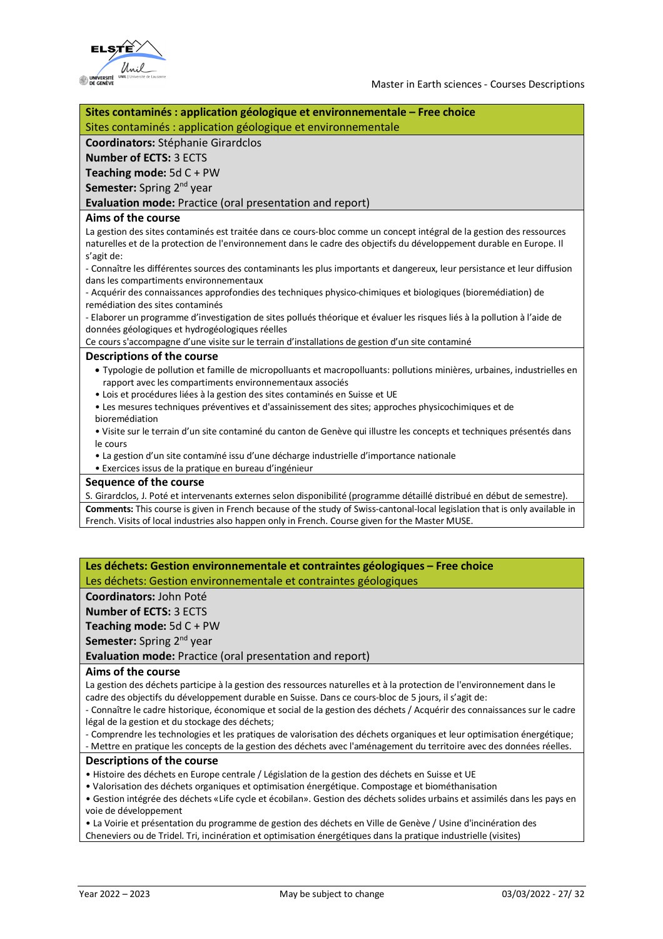

| Sites contaminés : application géologique et environnementale - Free choice                                                 |
|-----------------------------------------------------------------------------------------------------------------------------|
| Sites contaminés : application géologique et environnementale                                                               |
| <b>Coordinators: Stéphanie Girardclos</b>                                                                                   |
| <b>Number of ECTS: 3 ECTS</b>                                                                                               |
| Teaching mode: $5dC + PW$                                                                                                   |
| Semester: Spring 2 <sup>nd</sup> year                                                                                       |
| Evaluation mode: Practice (oral presentation and report)                                                                    |
| Aims of the course                                                                                                          |
| La gestion des sites contaminés est traitée dans ce cours-bloc comme un concept intégral de la gestion des ressources       |
| naturelles et de la protection de l'environnement dans le cadre des objectifs du développement durable en Europe. Il        |
| s'agit de:                                                                                                                  |
| - Connaître les différentes sources des contaminants les plus importants et dangereux, leur persistance et leur diffusion   |
| dans les compartiments environnementaux                                                                                     |
| - Acquérir des connaissances approfondies des techniques physico-chimiques et biologiques (bioremédiation) de               |
| remédiation des sites contaminés                                                                                            |
| - Elaborer un programme d'investigation de sites pollués théorique et évaluer les risques liés à la pollution à l'aide de   |
| données géologiques et hydrogéologiques réelles                                                                             |
| Ce cours s'accompagne d'une visite sur le terrain d'installations de gestion d'un site contaminé                            |
| <b>Descriptions of the course</b>                                                                                           |
| • Typologie de pollution et famille de micropolluants et macropolluants: pollutions minières, urbaines, industrielles en    |
| rapport avec les compartiments environnementaux associés                                                                    |
| · Lois et procédures liées à la gestion des sites contaminés en Suisse et UE                                                |
| • Les mesures techniques préventives et d'assainissement des sites; approches physicochimiques et de                        |
| bioremédiation                                                                                                              |
| · Visite sur le terrain d'un site contaminé du canton de Genève qui illustre les concepts et techniques présentés dans      |
| le cours                                                                                                                    |
| · La gestion d'un site contaminé issu d'une décharge industrielle d'importance nationale                                    |
| · Exercices issus de la pratique en bureau d'ingénieur                                                                      |
| Sequence of the course                                                                                                      |
| S. Girardclos, J. Poté et intervenants externes selon disponibilité (programme détaillé distribué en début de semestre).    |
| Comments: This course is given in French because of the study of Swiss-cantonal-local legislation that is only available in |

### French. Visits of local industries also happen only in French. Course given for the Master MUSE.

**Les déchets: Gestion environnementale et contraintes géologiques – Free choice** Les déchets: Gestion environnementale et contraintes géologiques

**Coordinators:** John Poté

**Number of ECTS:** 3 ECTS

**Teaching mode:** 5d C + PW

**Semester:** Spring 2<sup>nd</sup> year

**Evaluation mode:** Practice (oral presentation and report)

### **Aims of the course**

La gestion des déchets participe à la gestion des ressources naturelles et à la protection de l'environnement dans le cadre des objectifs du développement durable en Suisse. Dans ce cours-bloc de 5 jours, il s'agit de:

- Connaître le cadre historique, économique et social de la gestion des déchets / Acquérir des connaissances sur le cadre légal de la gestion et du stockage des déchets;

- Comprendre les technologies et les pratiques de valorisation des déchets organiques et leur optimisation énergétique; - Mettre en pratique les concepts de la gestion des déchets avec l'aménagement du territoire avec des données réelles.

### **Descriptions of the course**

• Histoire des déchets en Europe centrale / Législation de la gestion des déchets en Suisse et UE

• Valorisation des déchets organiques et optimisation énergétique. Compostage et biométhanisation

• Gestion intégrée des déchets «Life cycle et écobilan». Gestion des déchets solides urbains et assimilés dans les pays en voie de développement

• La Voirie et présentation du programme de gestion des déchets en Ville de Genève / Usine d'incinération des Cheneviers ou de Tridel. Tri, incinération et optimisation énergétiques dans la pratique industrielle (visites)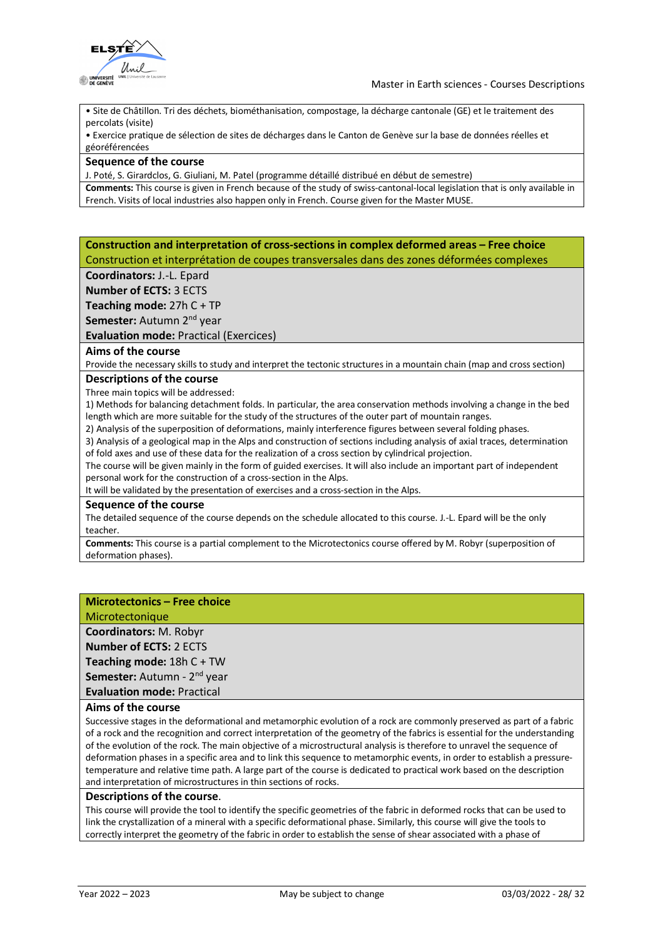

• Site de Châtillon. Tri des déchets, biométhanisation, compostage, la décharge cantonale (GE) et le traitement des percolats (visite)

• Exercice pratique de sélection de sites de décharges dans le Canton de Genève sur la base de données réelles et géoréférencées

### **Sequence of the course**

J. Poté, S. Girardclos, G. Giuliani, M. Patel (programme détaillé distribué en début de semestre)

**Comments:** This course is given in French because of the study of swiss-cantonal-local legislation that is only available in French. Visits of local industries also happen only in French. Course given for the Master MUSE.

### **Construction and interpretation of cross-sections in complex deformed areas – Free choice** Construction et interprétation de coupes transversales dans des zones déformées complexes

**Coordinators:** J.-L. Epard

**Number of ECTS:** 3 ECTS

**Teaching mode:** 27h C + TP

Semester: Autumn 2<sup>nd</sup> year

**Evaluation mode:** Practical (Exercices)

### **Aims of the course**

Provide the necessary skills to study and interpret the tectonic structures in a mountain chain (map and cross section)

### **Descriptions of the course**

Three main topics will be addressed:

1) Methods for balancing detachment folds. In particular, the area conservation methods involving a change in the bed length which are more suitable for the study of the structures of the outer part of mountain ranges.

2) Analysis of the superposition of deformations, mainly interference figures between several folding phases.

3) Analysis of a geological map in the Alps and construction of sections including analysis of axial traces, determination of fold axes and use of these data for the realization of a cross section by cylindrical projection.

The course will be given mainly in the form of guided exercises. It will also include an important part of independent personal work for the construction of a cross-section in the Alps.

It will be validated by the presentation of exercises and a cross-section in the Alps.

### **Sequence of the course**

The detailed sequence of the course depends on the schedule allocated to this course. J.-L. Epard will be the only teacher.

**Comments:** This course is a partial complement to the Microtectonics course offered by M. Robyr (superposition of deformation phases).

### **Microtectonics – Free choice**

Microtectonique

**Coordinators:** M. Robyr **Number of ECTS:** 2 ECTS **Teaching mode:** 18h C + TW **Semester:** Autumn - 2<sup>nd</sup> year

**Evaluation mode:** Practical

### **Aims of the course**

Successive stages in the deformational and metamorphic evolution of a rock are commonly preserved as part of a fabric of a rock and the recognition and correct interpretation of the geometry of the fabrics is essential for the understanding of the evolution of the rock. The main objective of a microstructural analysis is therefore to unravel the sequence of deformation phases in a specific area and to link this sequence to metamorphic events, in order to establish a pressuretemperature and relative time path. A large part of the course is dedicated to practical work based on the description and interpretation of microstructures in thin sections of rocks.

### **Descriptions of the course**.

This course will provide the tool to identify the specific geometries of the fabric in deformed rocks that can be used to link the crystallization of a mineral with a specific deformational phase. Similarly, this course will give the tools to correctly interpret the geometry of the fabric in order to establish the sense of shear associated with a phase of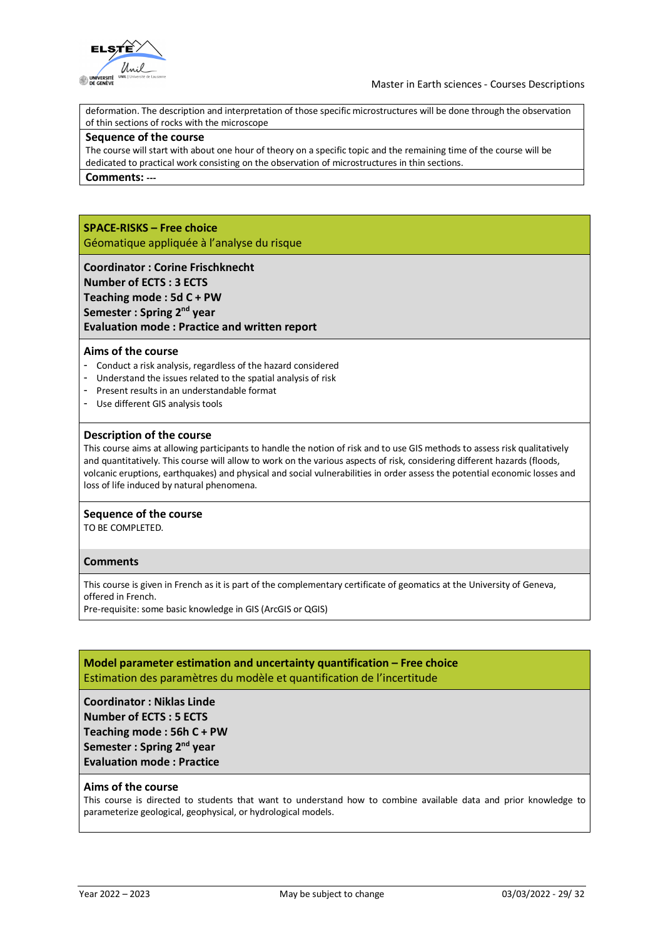

deformation. The description and interpretation of those specific microstructures will be done through the observation of thin sections of rocks with the microscope

#### **Sequence of the course**

The course will start with about one hour of theory on a specific topic and the remaining time of the course will be dedicated to practical work consisting on the observation of microstructures in thin sections.

**Comments: ---**

### **SPACE-RISKS – Free choice**

Géomatique appliquée à l'analyse du risque

### **Coordinator : Corine Frischknecht**

**Number of ECTS : 3 ECTS Teaching mode : 5d C + PW Semester : Spring 2nd year**

### **Evaluation mode : Practice and written report**

### **Aims of the course**

- Conduct a risk analysis, regardless of the hazard considered
- Understand the issues related to the spatial analysis of risk
- Present results in an understandable format
- Use different GIS analysis tools

### **Description of the course**

This course aims at allowing participants to handle the notion of risk and to use GIS methods to assess risk qualitatively and quantitatively. This course will allow to work on the various aspects of risk, considering different hazards (floods, volcanic eruptions, earthquakes) and physical and social vulnerabilities in order assess the potential economic losses and loss of life induced by natural phenomena.

### **Sequence of the course**

TO BE COMPLETED.

### **Comments**

This course is given in French as it is part of the complementary certificate of geomatics at the University of Geneva, offered in French.

Pre-requisite: some basic knowledge in GIS (ArcGIS or QGIS)

### **Model parameter estimation and uncertainty quantification – Free choice** Estimation des paramètres du modèle et quantification de l'incertitude

**Coordinator : Niklas Linde Number of ECTS : 5 ECTS Teaching mode : 56h C + PW Semester : Spring 2nd year Evaluation mode : Practice**

### **Aims of the course**

This course is directed to students that want to understand how to combine available data and prior knowledge to parameterize geological, geophysical, or hydrological models.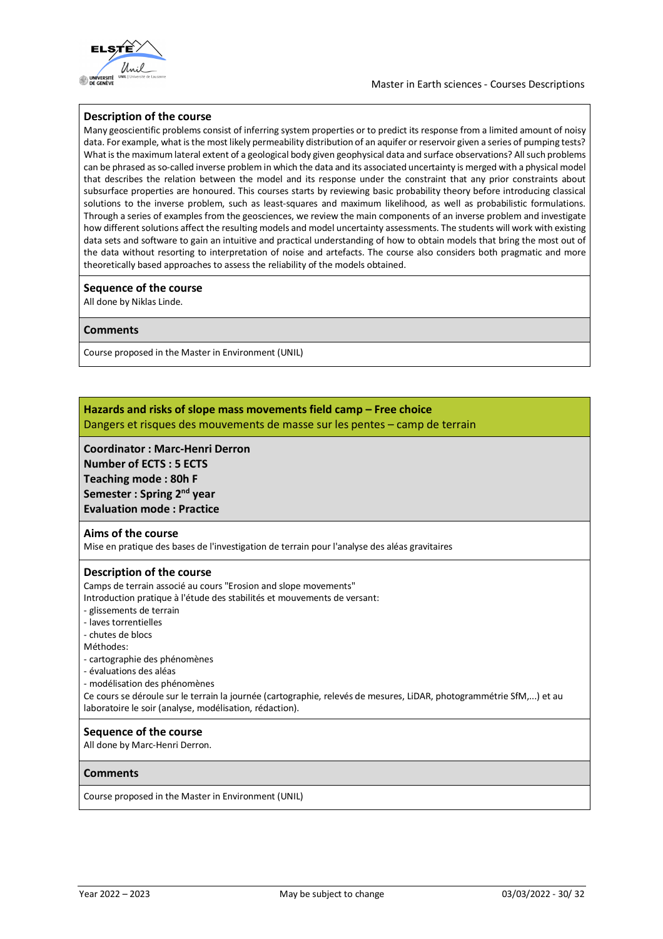

### **Description of the course**

Many geoscientific problems consist of inferring system properties or to predict its response from a limited amount of noisy data. For example, what is the most likely permeability distribution of an aquifer or reservoir given a series of pumping tests? What is the maximum lateral extent of a geological body given geophysical data and surface observations? All such problems can be phrased asso-called inverse problem in which the data and its associated uncertainty is merged with a physical model that describes the relation between the model and its response under the constraint that any prior constraints about subsurface properties are honoured. This courses starts by reviewing basic probability theory before introducing classical solutions to the inverse problem, such as least-squares and maximum likelihood, as well as probabilistic formulations. Through a series of examples from the geosciences, we review the main components of an inverse problem and investigate how different solutions affect the resulting models and model uncertainty assessments. The students will work with existing data sets and software to gain an intuitive and practical understanding of how to obtain models that bring the most out of the data without resorting to interpretation of noise and artefacts. The course also considers both pragmatic and more theoretically based approaches to assess the reliability of the models obtained.

### **Sequence of the course**

All done by Niklas Linde.

### **Comments**

Course proposed in the Master in Environment (UNIL)

### **Hazards and risks of slope mass movements field camp – Free choice** Dangers et risques des mouvements de masse sur les pentes – camp de terrain

**Coordinator : Marc-Henri Derron Number of ECTS : 5 ECTS Teaching mode : 80h F Semester : Spring 2nd year Evaluation mode : Practice**

#### **Aims of the course**

Mise en pratique des bases de l'investigation de terrain pour l'analyse des aléas gravitaires

#### **Description of the course**

Camps de terrain associé au cours "Erosion and slope movements"

- Introduction pratique à l'étude des stabilités et mouvements de versant:
- glissements de terrain
- laves torrentielles
- chutes de blocs
- Méthodes:
- cartographie des phénomènes
- évaluations des aléas
- modélisation des phénomènes

Ce cours se déroule sur le terrain la journée (cartographie, relevés de mesures, LiDAR, photogrammétrie SfM,...) et au laboratoire le soir (analyse, modélisation, rédaction).

#### **Sequence of the course**

All done by Marc-Henri Derron.

#### **Comments**

Course proposed in the Master in Environment (UNIL)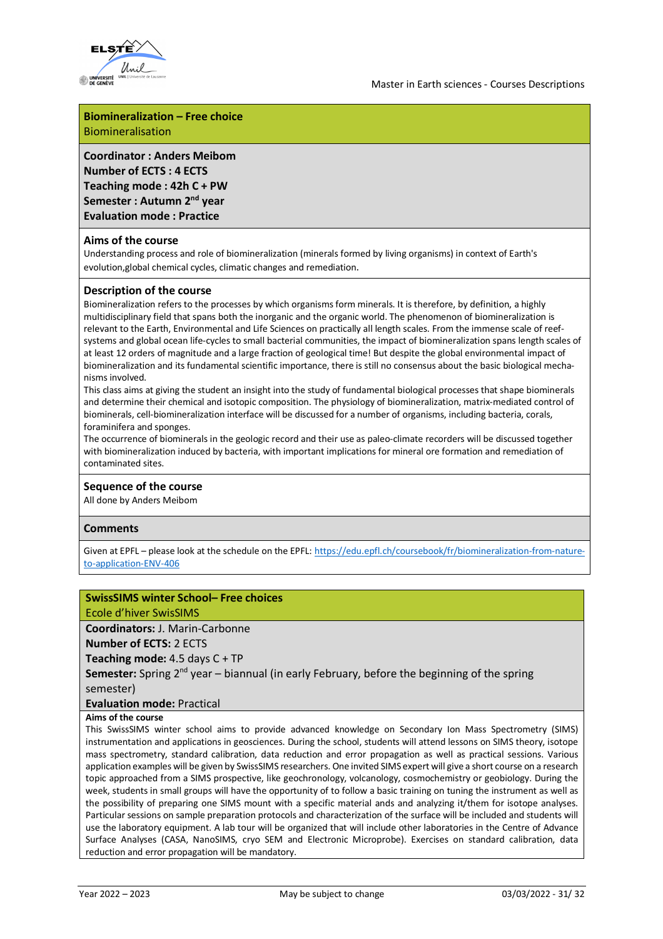

## **Biomineralization – Free choice**

Biomineralisation

**Coordinator : Anders Meibom Number of ECTS : 4 ECTS Teaching mode : 42h C + PW Semester : Autumn 2nd year Evaluation mode : Practice**

### **Aims of the course**

Understanding process and role of biomineralization (minerals formed by living organisms) in context of Earth's evolution,global chemical cycles, climatic changes and remediation.

### **Description of the course**

Biomineralization refers to the processes by which organisms form minerals. It is therefore, by definition, a highly multidisciplinary field that spans both the inorganic and the organic world. The phenomenon of biomineralization is relevant to the Earth, Environmental and Life Sciences on practically all length scales. From the immense scale of reefsystems and global ocean life-cycles to small bacterial communities, the impact of biomineralization spans length scales of at least 12 orders of magnitude and a large fraction of geological time! But despite the global environmental impact of biomineralization and its fundamental scientific importance, there is still no consensus about the basic biological mechanisms involved.

This class aims at giving the student an insight into the study of fundamental biological processes that shape biominerals and determine their chemical and isotopic composition. The physiology of biomineralization, matrix-mediated control of biominerals, cell-biomineralization interface will be discussed for a number of organisms, including bacteria, corals, foraminifera and sponges.

The occurrence of biominerals in the geologic record and their use as paleo-climate recorders will be discussed together with biomineralization induced by bacteria, with important implications for mineral ore formation and remediation of contaminated sites.

### **Sequence of the course**

All done by Anders Meibom

### **Comments**

Given at EPFL – please look at the schedule on the EPFL: https://edu.epfl.ch/coursebook/fr/biomineralization-from-natureto-application-ENV-406

### **SwissSIMS winter School– Free choices**

Ecole d'hiver SwisSIMS

### **Coordinators:** J. Marin-Carbonne

**Number of ECTS:** 2 ECTS

**Teaching mode:** 4.5 days C + TP

**Semester:** Spring 2nd year – biannual (in early February, before the beginning of the spring semester)

### **Evaluation mode:** Practical

### **Aims of the course**

This SwissSIMS winter school aims to provide advanced knowledge on Secondary Ion Mass Spectrometry (SIMS) instrumentation and applications in geosciences. During the school, students will attend lessons on SIMS theory, isotope mass spectrometry, standard calibration, data reduction and error propagation as well as practical sessions. Various application examples will be given by SwissSIMS researchers. One invited SIMS expert will give a short course on a research topic approached from a SIMS prospective, like geochronology, volcanology, cosmochemistry or geobiology. During the week, students in small groups will have the opportunity of to follow a basic training on tuning the instrument as well as the possibility of preparing one SIMS mount with a specific material ands and analyzing it/them for isotope analyses. Particular sessions on sample preparation protocols and characterization of the surface will be included and students will use the laboratory equipment. A lab tour will be organized that will include other laboratories in the Centre of Advance Surface Analyses (CASA, NanoSIMS, cryo SEM and Electronic Microprobe). Exercises on standard calibration, data reduction and error propagation will be mandatory.